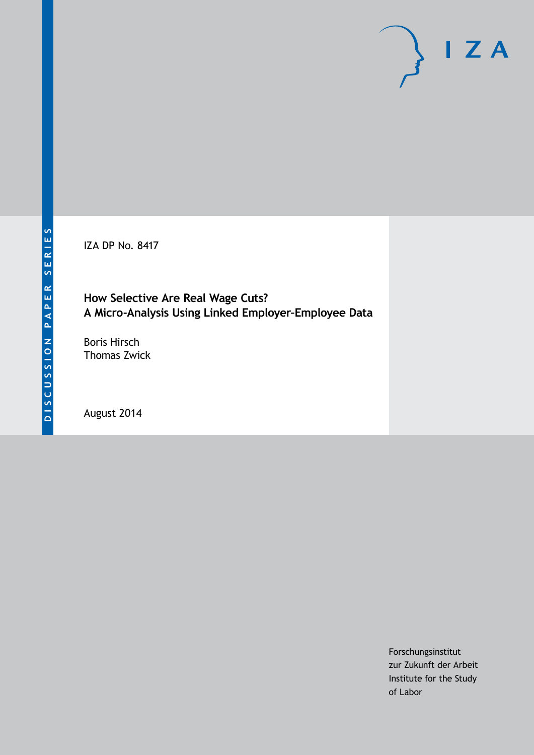IZA DP No. 8417

**How Selective Are Real Wage Cuts? A Micro-Analysis Using Linked Employer–Employee Data**

Boris Hirsch Thomas Zwick

August 2014

Forschungsinstitut zur Zukunft der Arbeit Institute for the Study of Labor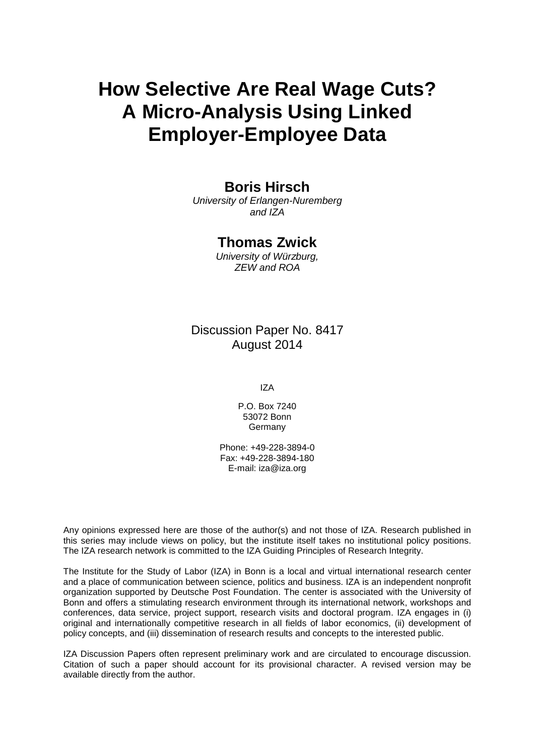# **How Selective Are Real Wage Cuts? A Micro-Analysis Using Linked Employer-Employee Data**

#### **Boris Hirsch**

*University of Erlangen-Nuremberg and IZA*

### **Thomas Zwick**

*University of Würzburg, ZEW and ROA*

### Discussion Paper No. 8417 August 2014

IZA

P.O. Box 7240 53072 Bonn Germany

Phone: +49-228-3894-0 Fax: +49-228-3894-180 E-mail: [iza@iza.org](mailto:iza@iza.org)

Any opinions expressed here are those of the author(s) and not those of IZA. Research published in this series may include views on policy, but the institute itself takes no institutional policy positions. The IZA research network is committed to the IZA Guiding Principles of Research Integrity.

The Institute for the Study of Labor (IZA) in Bonn is a local and virtual international research center and a place of communication between science, politics and business. IZA is an independent nonprofit organization supported by Deutsche Post Foundation. The center is associated with the University of Bonn and offers a stimulating research environment through its international network, workshops and conferences, data service, project support, research visits and doctoral program. IZA engages in (i) original and internationally competitive research in all fields of labor economics, (ii) development of policy concepts, and (iii) dissemination of research results and concepts to the interested public.

<span id="page-1-0"></span>IZA Discussion Papers often represent preliminary work and are circulated to encourage discussion. Citation of such a paper should account for its provisional character. A revised version may be available directly from the author.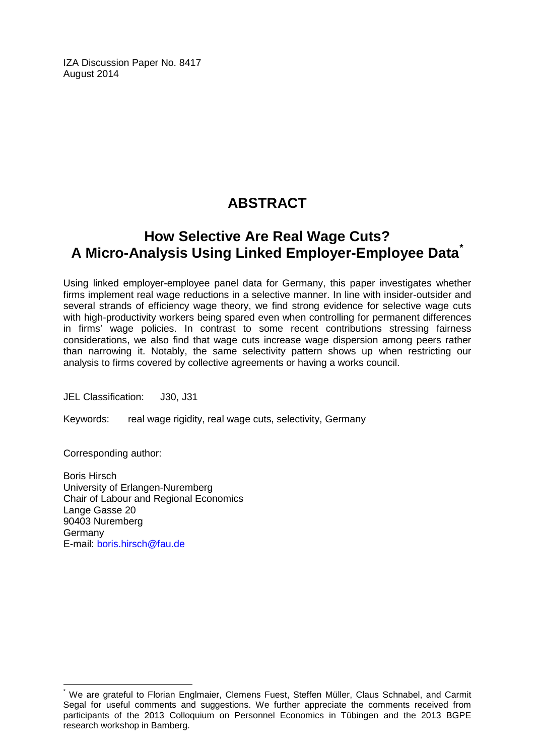IZA Discussion Paper No. 8417 August 2014

# **ABSTRACT**

# **How Selective Are Real Wage Cuts? A Micro-Analysis Using Linked Employer-Employee Data[\\*](#page-1-0)**

Using linked employer-employee panel data for Germany, this paper investigates whether firms implement real wage reductions in a selective manner. In line with insider-outsider and several strands of efficiency wage theory, we find strong evidence for selective wage cuts with high-productivity workers being spared even when controlling for permanent differences in firms' wage policies. In contrast to some recent contributions stressing fairness considerations, we also find that wage cuts increase wage dispersion among peers rather than narrowing it. Notably, the same selectivity pattern shows up when restricting our analysis to firms covered by collective agreements or having a works council.

JEL Classification: J30, J31

Keywords: real wage rigidity, real wage cuts, selectivity, Germany

Corresponding author:

Boris Hirsch University of Erlangen-Nuremberg Chair of Labour and Regional Economics Lange Gasse 20 90403 Nuremberg Germany E-mail: [boris.hirsch@fau.de](mailto:boris.hirsch@fau.de)

\* We are grateful to Florian Englmaier, Clemens Fuest, Steffen Müller, Claus Schnabel, and Carmit Segal for useful comments and suggestions. We further appreciate the comments received from participants of the 2013 Colloquium on Personnel Economics in Tübingen and the 2013 BGPE research workshop in Bamberg.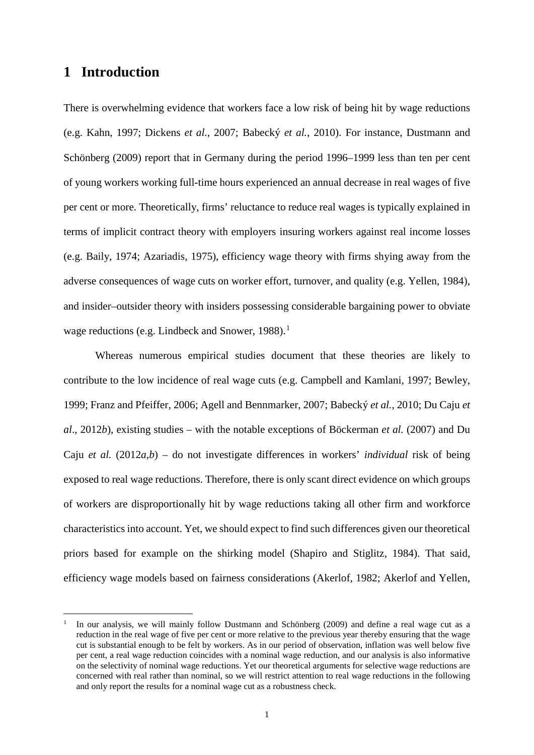### **1 Introduction**

<u>.</u>

There is overwhelming evidence that workers face a low risk of being hit by wage reductions (e.g. Kahn, 1997; Dickens *et al.*, 2007; Babecký *et al.*, 2010). For instance, Dustmann and Schönberg (2009) report that in Germany during the period 1996–1999 less than ten per cent of young workers working full-time hours experienced an annual decrease in real wages of five per cent or more. Theoretically, firms' reluctance to reduce real wages is typically explained in terms of implicit contract theory with employers insuring workers against real income losses (e.g. Baily, 1974; Azariadis, 1975), efficiency wage theory with firms shying away from the adverse consequences of wage cuts on worker effort, turnover, and quality (e.g. Yellen, 1984), and insider–outsider theory with insiders possessing considerable bargaining power to obviate wage reductions (e.g. Lindbeck and Snower,  $1988$  $1988$ ).<sup>1</sup>

Whereas numerous empirical studies document that these theories are likely to contribute to the low incidence of real wage cuts (e.g. Campbell and Kamlani, 1997; Bewley, 1999; Franz and Pfeiffer, 2006; Agell and Bennmarker, 2007; Babecký *et al.*, 2010; Du Caju *et al*., 2012*b*), existing studies – with the notable exceptions of Böckerman *et al.* (2007) and Du Caju *et al.* (2012*a*,*b*) – do not investigate differences in workers' *individual* risk of being exposed to real wage reductions. Therefore, there is only scant direct evidence on which groups of workers are disproportionally hit by wage reductions taking all other firm and workforce characteristics into account. Yet, we should expect to find such differences given our theoretical priors based for example on the shirking model (Shapiro and Stiglitz, 1984). That said, efficiency wage models based on fairness considerations (Akerlof, 1982; Akerlof and Yellen,

<span id="page-3-0"></span>In our analysis, we will mainly follow Dustmann and Schönberg (2009) and define a real wage cut as a reduction in the real wage of five per cent or more relative to the previous year thereby ensuring that the wage cut is substantial enough to be felt by workers. As in our period of observation, inflation was well below five per cent, a real wage reduction coincides with a nominal wage reduction, and our analysis is also informative on the selectivity of nominal wage reductions. Yet our theoretical arguments for selective wage reductions are concerned with real rather than nominal, so we will restrict attention to real wage reductions in the following and only report the results for a nominal wage cut as a robustness check.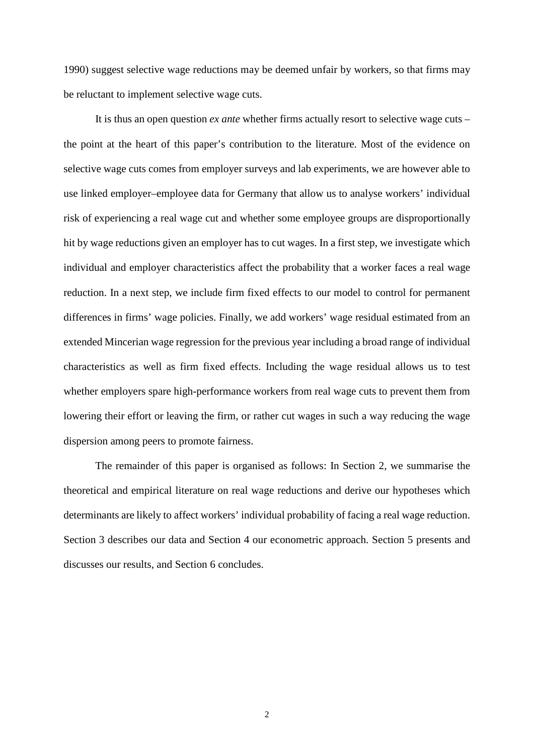1990) suggest selective wage reductions may be deemed unfair by workers, so that firms may be reluctant to implement selective wage cuts.

It is thus an open question *ex ante* whether firms actually resort to selective wage cuts – the point at the heart of this paper's contribution to the literature. Most of the evidence on selective wage cuts comes from employer surveys and lab experiments, we are however able to use linked employer–employee data for Germany that allow us to analyse workers' individual risk of experiencing a real wage cut and whether some employee groups are disproportionally hit by wage reductions given an employer has to cut wages. In a first step, we investigate which individual and employer characteristics affect the probability that a worker faces a real wage reduction. In a next step, we include firm fixed effects to our model to control for permanent differences in firms' wage policies. Finally, we add workers' wage residual estimated from an extended Mincerian wage regression for the previous year including a broad range of individual characteristics as well as firm fixed effects. Including the wage residual allows us to test whether employers spare high-performance workers from real wage cuts to prevent them from lowering their effort or leaving the firm, or rather cut wages in such a way reducing the wage dispersion among peers to promote fairness.

The remainder of this paper is organised as follows: In Section 2, we summarise the theoretical and empirical literature on real wage reductions and derive our hypotheses which determinants are likely to affect workers' individual probability of facing a real wage reduction. Section 3 describes our data and Section 4 our econometric approach. Section 5 presents and discusses our results, and Section 6 concludes.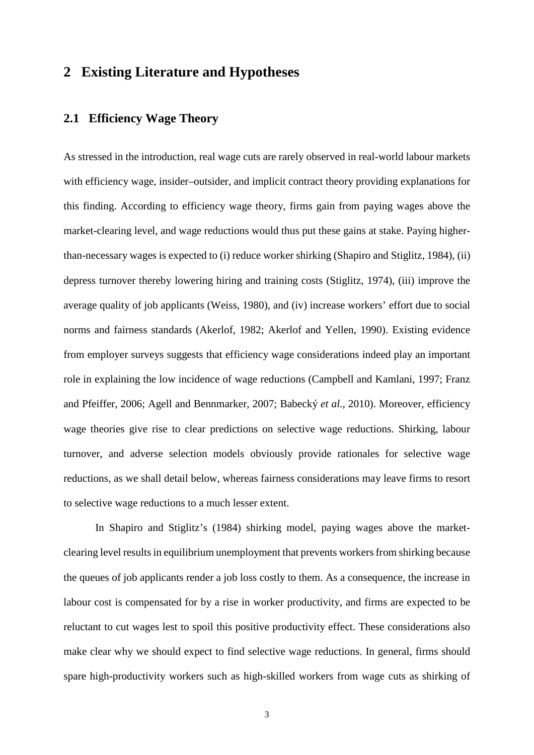## **2 Existing Literature and Hypotheses**

#### **2.1 Efficiency Wage Theory**

As stressed in the introduction, real wage cuts are rarely observed in real-world labour markets with efficiency wage, insider–outsider, and implicit contract theory providing explanations for this finding. According to efficiency wage theory, firms gain from paying wages above the market-clearing level, and wage reductions would thus put these gains at stake. Paying higherthan-necessary wages is expected to (i) reduce worker shirking (Shapiro and Stiglitz, 1984), (ii) depress turnover thereby lowering hiring and training costs (Stiglitz, 1974), (iii) improve the average quality of job applicants (Weiss, 1980), and (iv) increase workers' effort due to social norms and fairness standards (Akerlof, 1982; Akerlof and Yellen, 1990). Existing evidence from employer surveys suggests that efficiency wage considerations indeed play an important role in explaining the low incidence of wage reductions (Campbell and Kamlani, 1997; Franz and Pfeiffer, 2006; Agell and Bennmarker, 2007; Babecký *et al.*, 2010). Moreover, efficiency wage theories give rise to clear predictions on selective wage reductions. Shirking, labour turnover, and adverse selection models obviously provide rationales for selective wage reductions, as we shall detail below, whereas fairness considerations may leave firms to resort to selective wage reductions to a much lesser extent.

In Shapiro and Stiglitz's (1984) shirking model, paying wages above the marketclearing level results in equilibrium unemployment that prevents workers from shirking because the queues of job applicants render a job loss costly to them. As a consequence, the increase in labour cost is compensated for by a rise in worker productivity, and firms are expected to be reluctant to cut wages lest to spoil this positive productivity effect. These considerations also make clear why we should expect to find selective wage reductions. In general, firms should spare high-productivity workers such as high-skilled workers from wage cuts as shirking of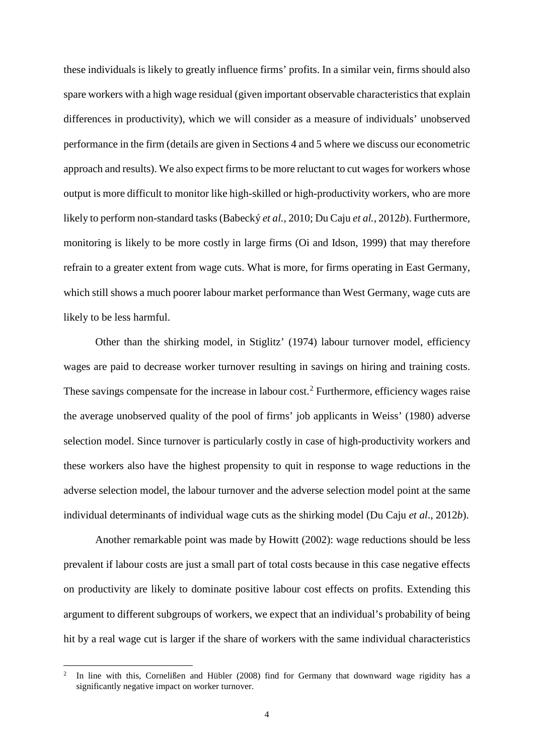these individuals is likely to greatly influence firms' profits. In a similar vein, firms should also spare workers with a high wage residual (given important observable characteristics that explain differences in productivity), which we will consider as a measure of individuals' unobserved performance in the firm (details are given in Sections 4 and 5 where we discuss our econometric approach and results). We also expect firms to be more reluctant to cut wages for workers whose output is more difficult to monitor like high-skilled or high-productivity workers, who are more likely to perform non-standard tasks (Babecký *et al.*, 2010; Du Caju *et al.*, 2012*b*). Furthermore, monitoring is likely to be more costly in large firms (Oi and Idson, 1999) that may therefore refrain to a greater extent from wage cuts. What is more, for firms operating in East Germany, which still shows a much poorer labour market performance than West Germany, wage cuts are likely to be less harmful.

Other than the shirking model, in Stiglitz' (1974) labour turnover model, efficiency wages are paid to decrease worker turnover resulting in savings on hiring and training costs. These savings compensate for the increase in labour cost.<sup>[2](#page-6-0)</sup> Furthermore, efficiency wages raise the average unobserved quality of the pool of firms' job applicants in Weiss' (1980) adverse selection model. Since turnover is particularly costly in case of high-productivity workers and these workers also have the highest propensity to quit in response to wage reductions in the adverse selection model, the labour turnover and the adverse selection model point at the same individual determinants of individual wage cuts as the shirking model (Du Caju *et al*., 2012*b*).

Another remarkable point was made by Howitt (2002): wage reductions should be less prevalent if labour costs are just a small part of total costs because in this case negative effects on productivity are likely to dominate positive labour cost effects on profits. Extending this argument to different subgroups of workers, we expect that an individual's probability of being hit by a real wage cut is larger if the share of workers with the same individual characteristics

<u>.</u>

<span id="page-6-0"></span><sup>2</sup> In line with this, Cornelißen and Hübler (2008) find for Germany that downward wage rigidity has a significantly negative impact on worker turnover.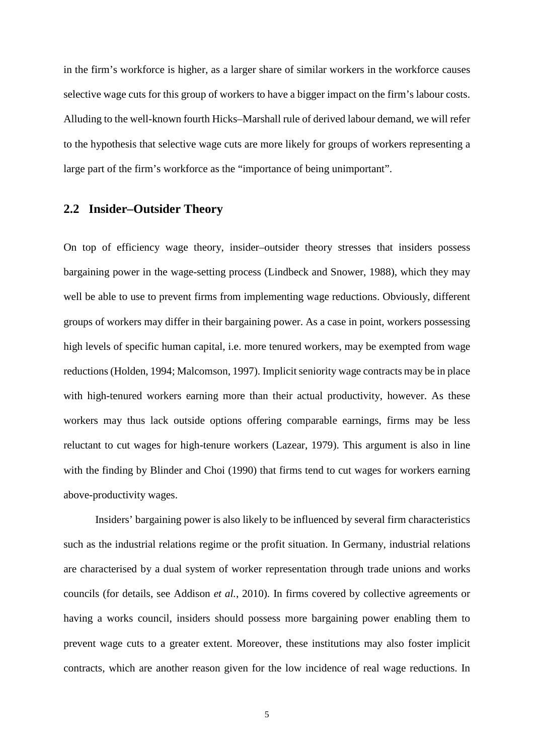in the firm's workforce is higher, as a larger share of similar workers in the workforce causes selective wage cuts for this group of workers to have a bigger impact on the firm's labour costs. Alluding to the well-known fourth Hicks–Marshall rule of derived labour demand, we will refer to the hypothesis that selective wage cuts are more likely for groups of workers representing a large part of the firm's workforce as the "importance of being unimportant".

# **2.2 Insider–Outsider Theory**

On top of efficiency wage theory, insider–outsider theory stresses that insiders possess bargaining power in the wage-setting process (Lindbeck and Snower, 1988), which they may well be able to use to prevent firms from implementing wage reductions. Obviously, different groups of workers may differ in their bargaining power. As a case in point, workers possessing high levels of specific human capital, i.e. more tenured workers, may be exempted from wage reductions (Holden, 1994; Malcomson, 1997). Implicit seniority wage contracts may be in place with high-tenured workers earning more than their actual productivity, however. As these workers may thus lack outside options offering comparable earnings, firms may be less reluctant to cut wages for high-tenure workers (Lazear, 1979). This argument is also in line with the finding by Blinder and Choi (1990) that firms tend to cut wages for workers earning above-productivity wages.

Insiders' bargaining power is also likely to be influenced by several firm characteristics such as the industrial relations regime or the profit situation. In Germany, industrial relations are characterised by a dual system of worker representation through trade unions and works councils (for details, see Addison *et al.*, 2010). In firms covered by collective agreements or having a works council, insiders should possess more bargaining power enabling them to prevent wage cuts to a greater extent. Moreover, these institutions may also foster implicit contracts, which are another reason given for the low incidence of real wage reductions. In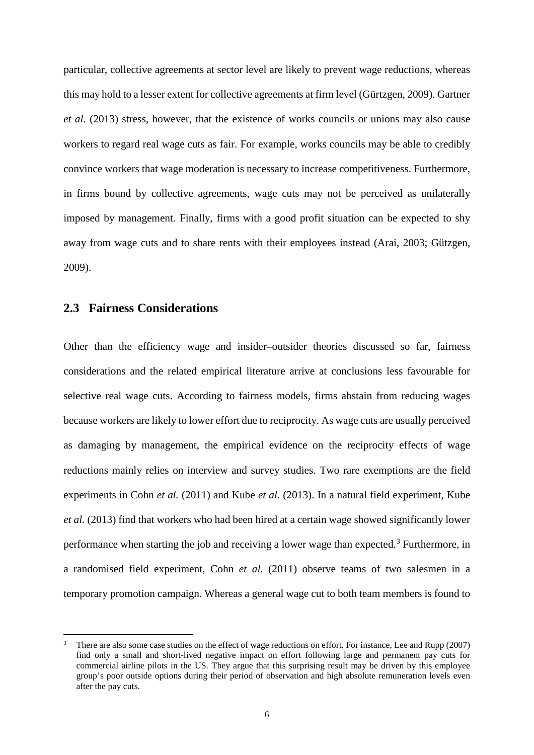particular, collective agreements at sector level are likely to prevent wage reductions, whereas this may hold to a lesser extent for collective agreements at firm level (Gürtzgen, 2009). Gartner *et al.* (2013) stress, however, that the existence of works councils or unions may also cause workers to regard real wage cuts as fair. For example, works councils may be able to credibly convince workers that wage moderation is necessary to increase competitiveness. Furthermore, in firms bound by collective agreements, wage cuts may not be perceived as unilaterally imposed by management. Finally, firms with a good profit situation can be expected to shy away from wage cuts and to share rents with their employees instead (Arai, 2003; Gützgen, 2009).

#### **2.3 Fairness Considerations**

-

Other than the efficiency wage and insider–outsider theories discussed so far, fairness considerations and the related empirical literature arrive at conclusions less favourable for selective real wage cuts. According to fairness models, firms abstain from reducing wages because workers are likely to lower effort due to reciprocity. As wage cuts are usually perceived as damaging by management, the empirical evidence on the reciprocity effects of wage reductions mainly relies on interview and survey studies. Two rare exemptions are the field experiments in Cohn *et al.* (2011) and Kube *et al.* (2013). In a natural field experiment, Kube *et al.* (2013) find that workers who had been hired at a certain wage showed significantly lower performance when starting the job and receiving a lower wage than expected.[3](#page-8-0) Furthermore, in a randomised field experiment, Cohn *et al.* (2011) observe teams of two salesmen in a temporary promotion campaign. Whereas a general wage cut to both team members is found to

<span id="page-8-0"></span><sup>3</sup> There are also some case studies on the effect of wage reductions on effort. For instance, Lee and Rupp (2007) find only a small and short-lived negative impact on effort following large and permanent pay cuts for commercial airline pilots in the US. They argue that this surprising result may be driven by this employee group's poor outside options during their period of observation and high absolute remuneration levels even after the pay cuts.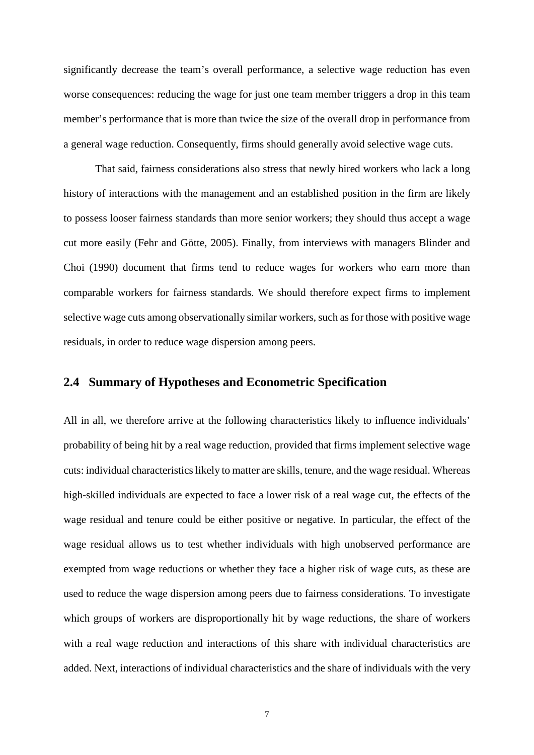significantly decrease the team's overall performance, a selective wage reduction has even worse consequences: reducing the wage for just one team member triggers a drop in this team member's performance that is more than twice the size of the overall drop in performance from a general wage reduction. Consequently, firms should generally avoid selective wage cuts.

That said, fairness considerations also stress that newly hired workers who lack a long history of interactions with the management and an established position in the firm are likely to possess looser fairness standards than more senior workers; they should thus accept a wage cut more easily (Fehr and Götte, 2005). Finally, from interviews with managers Blinder and Choi (1990) document that firms tend to reduce wages for workers who earn more than comparable workers for fairness standards. We should therefore expect firms to implement selective wage cuts among observationally similar workers, such as for those with positive wage residuals, in order to reduce wage dispersion among peers.

#### **2.4 Summary of Hypotheses and Econometric Specification**

All in all, we therefore arrive at the following characteristics likely to influence individuals' probability of being hit by a real wage reduction, provided that firms implement selective wage cuts: individual characteristics likely to matter are skills, tenure, and the wage residual. Whereas high-skilled individuals are expected to face a lower risk of a real wage cut, the effects of the wage residual and tenure could be either positive or negative. In particular, the effect of the wage residual allows us to test whether individuals with high unobserved performance are exempted from wage reductions or whether they face a higher risk of wage cuts, as these are used to reduce the wage dispersion among peers due to fairness considerations. To investigate which groups of workers are disproportionally hit by wage reductions, the share of workers with a real wage reduction and interactions of this share with individual characteristics are added. Next, interactions of individual characteristics and the share of individuals with the very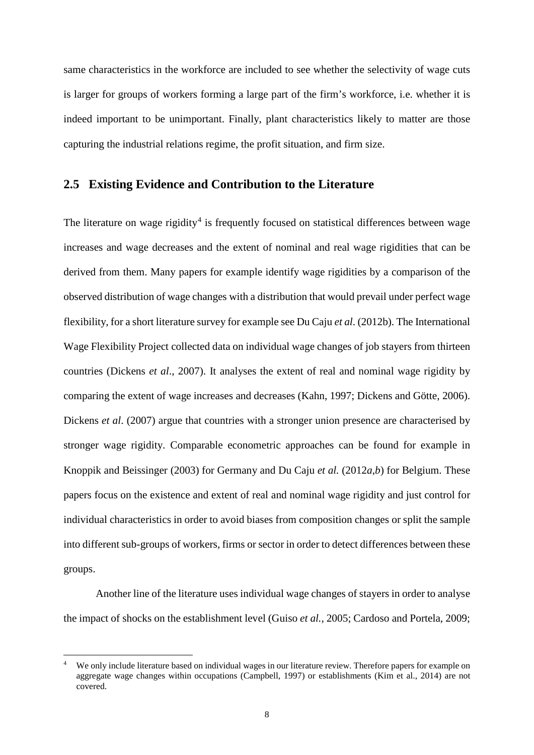same characteristics in the workforce are included to see whether the selectivity of wage cuts is larger for groups of workers forming a large part of the firm's workforce, i.e. whether it is indeed important to be unimportant. Finally, plant characteristics likely to matter are those capturing the industrial relations regime, the profit situation, and firm size.

#### **2.5 Existing Evidence and Contribution to the Literature**

The literature on wage rigidity<sup>[4](#page-10-0)</sup> is frequently focused on statistical differences between wage increases and wage decreases and the extent of nominal and real wage rigidities that can be derived from them. Many papers for example identify wage rigidities by a comparison of the observed distribution of wage changes with a distribution that would prevail under perfect wage flexibility, for a short literature survey for example see Du Caju *et al*. (2012b). The International Wage Flexibility Project collected data on individual wage changes of job stayers from thirteen countries (Dickens *et al*., 2007). It analyses the extent of real and nominal wage rigidity by comparing the extent of wage increases and decreases (Kahn, 1997; Dickens and Götte, 2006). Dickens *et al*. (2007) argue that countries with a stronger union presence are characterised by stronger wage rigidity. Comparable econometric approaches can be found for example in Knoppik and Beissinger (2003) for Germany and Du Caju *et al.* (2012*a*,*b*) for Belgium. These papers focus on the existence and extent of real and nominal wage rigidity and just control for individual characteristics in order to avoid biases from composition changes or split the sample into different sub-groups of workers, firms or sector in order to detect differences between these groups.

Another line of the literature uses individual wage changes of stayers in order to analyse the impact of shocks on the establishment level (Guiso *et al.*, 2005; Cardoso and Portela, 2009;

-

<span id="page-10-0"></span>We only include literature based on individual wages in our literature review. Therefore papers for example on aggregate wage changes within occupations (Campbell, 1997) or establishments (Kim et al., 2014) are not covered.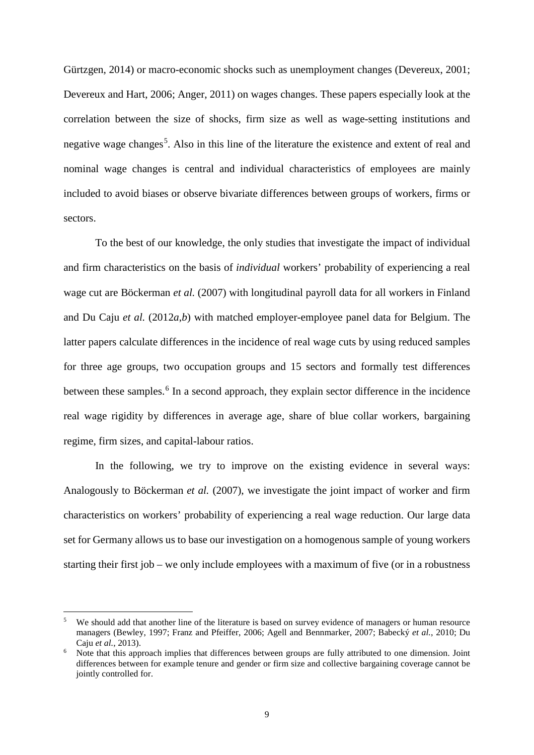Gürtzgen, 2014) or macro-economic shocks such as unemployment changes (Devereux, 2001; Devereux and Hart, 2006; Anger, 2011) on wages changes. These papers especially look at the correlation between the size of shocks, firm size as well as wage-setting institutions and negative wage changes<sup>[5](#page-11-0)</sup>. Also in this line of the literature the existence and extent of real and nominal wage changes is central and individual characteristics of employees are mainly included to avoid biases or observe bivariate differences between groups of workers, firms or sectors.

To the best of our knowledge, the only studies that investigate the impact of individual and firm characteristics on the basis of *individual* workers' probability of experiencing a real wage cut are Böckerman *et al.* (2007) with longitudinal payroll data for all workers in Finland and Du Caju *et al.* (2012*a*,*b*) with matched employer-employee panel data for Belgium. The latter papers calculate differences in the incidence of real wage cuts by using reduced samples for three age groups, two occupation groups and 15 sectors and formally test differences between these samples.<sup>[6](#page-11-1)</sup> In a second approach, they explain sector difference in the incidence real wage rigidity by differences in average age, share of blue collar workers, bargaining regime, firm sizes, and capital-labour ratios.

In the following, we try to improve on the existing evidence in several ways: Analogously to Böckerman *et al.* (2007), we investigate the joint impact of worker and firm characteristics on workers' probability of experiencing a real wage reduction. Our large data set for Germany allows us to base our investigation on a homogenous sample of young workers starting their first job – we only include employees with a maximum of five (or in a robustness

-

<span id="page-11-0"></span>We should add that another line of the literature is based on survey evidence of managers or human resource managers (Bewley, 1997; Franz and Pfeiffer, 2006; Agell and Bennmarker, 2007; Babecký *et al.*, 2010; Du Caju *et al.*, 2013).

<span id="page-11-1"></span>Note that this approach implies that differences between groups are fully attributed to one dimension. Joint differences between for example tenure and gender or firm size and collective bargaining coverage cannot be jointly controlled for.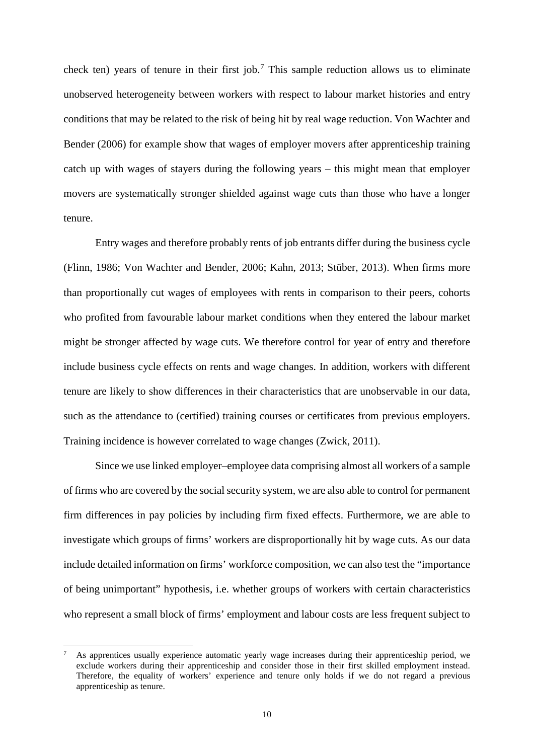check ten) years of tenure in their first job.<sup>[7](#page-12-0)</sup> This sample reduction allows us to eliminate unobserved heterogeneity between workers with respect to labour market histories and entry conditions that may be related to the risk of being hit by real wage reduction. Von Wachter and Bender (2006) for example show that wages of employer movers after apprenticeship training catch up with wages of stayers during the following years – this might mean that employer movers are systematically stronger shielded against wage cuts than those who have a longer tenure.

Entry wages and therefore probably rents of job entrants differ during the business cycle (Flinn, 1986; Von Wachter and Bender, 2006; Kahn, 2013; Stüber, 2013). When firms more than proportionally cut wages of employees with rents in comparison to their peers, cohorts who profited from favourable labour market conditions when they entered the labour market might be stronger affected by wage cuts. We therefore control for year of entry and therefore include business cycle effects on rents and wage changes. In addition, workers with different tenure are likely to show differences in their characteristics that are unobservable in our data, such as the attendance to (certified) training courses or certificates from previous employers. Training incidence is however correlated to wage changes (Zwick, 2011).

Since we use linked employer–employee data comprising almost all workers of a sample of firms who are covered by the social security system, we are also able to control for permanent firm differences in pay policies by including firm fixed effects. Furthermore, we are able to investigate which groups of firms' workers are disproportionally hit by wage cuts. As our data include detailed information on firms' workforce composition, we can also test the "importance of being unimportant" hypothesis, i.e. whether groups of workers with certain characteristics who represent a small block of firms' employment and labour costs are less frequent subject to

<u>.</u>

<span id="page-12-0"></span>As apprentices usually experience automatic yearly wage increases during their apprenticeship period, we exclude workers during their apprenticeship and consider those in their first skilled employment instead. Therefore, the equality of workers' experience and tenure only holds if we do not regard a previous apprenticeship as tenure.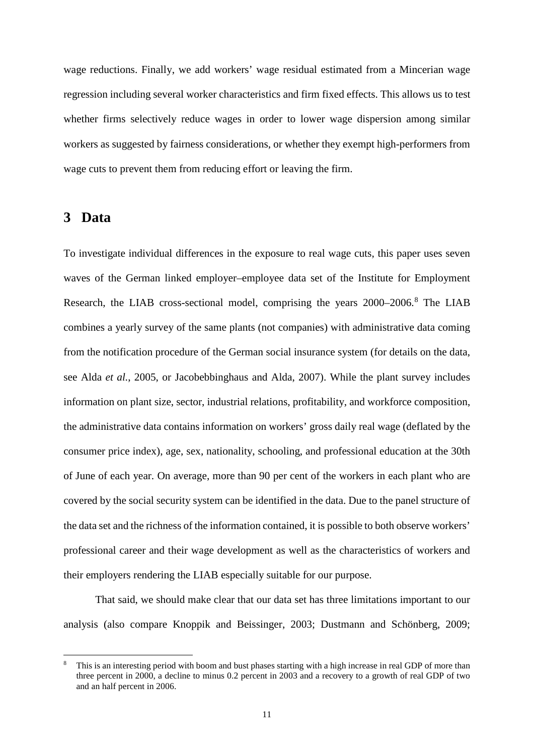wage reductions. Finally, we add workers' wage residual estimated from a Mincerian wage regression including several worker characteristics and firm fixed effects. This allows us to test whether firms selectively reduce wages in order to lower wage dispersion among similar workers as suggested by fairness considerations, or whether they exempt high-performers from wage cuts to prevent them from reducing effort or leaving the firm.

### **3 Data**

-

To investigate individual differences in the exposure to real wage cuts, this paper uses seven waves of the German linked employer–employee data set of the Institute for Employment Research, the LIAB cross-sectional model, comprising the years 2000–2006.<sup>[8](#page-13-0)</sup> The LIAB combines a yearly survey of the same plants (not companies) with administrative data coming from the notification procedure of the German social insurance system (for details on the data, see Alda *et al.*, 2005, or Jacobebbinghaus and Alda, 2007). While the plant survey includes information on plant size, sector, industrial relations, profitability, and workforce composition, the administrative data contains information on workers' gross daily real wage (deflated by the consumer price index), age, sex, nationality, schooling, and professional education at the 30th of June of each year. On average, more than 90 per cent of the workers in each plant who are covered by the social security system can be identified in the data. Due to the panel structure of the data set and the richness of the information contained, it is possible to both observe workers' professional career and their wage development as well as the characteristics of workers and their employers rendering the LIAB especially suitable for our purpose.

That said, we should make clear that our data set has three limitations important to our analysis (also compare Knoppik and Beissinger, 2003; Dustmann and Schönberg, 2009;

<span id="page-13-0"></span>This is an interesting period with boom and bust phases starting with a high increase in real GDP of more than three percent in 2000, a decline to minus 0.2 percent in 2003 and a recovery to a growth of real GDP of two and an half percent in 2006.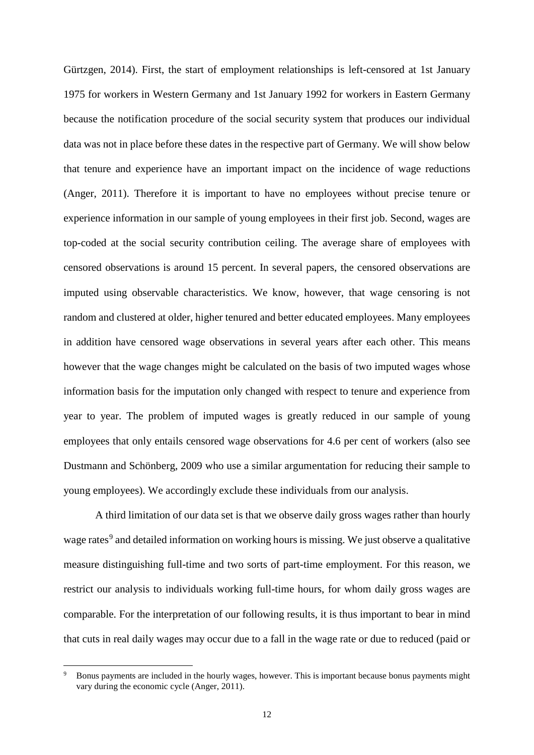Gürtzgen, 2014). First, the start of employment relationships is left-censored at 1st January 1975 for workers in Western Germany and 1st January 1992 for workers in Eastern Germany because the notification procedure of the social security system that produces our individual data was not in place before these dates in the respective part of Germany. We will show below that tenure and experience have an important impact on the incidence of wage reductions (Anger, 2011). Therefore it is important to have no employees without precise tenure or experience information in our sample of young employees in their first job. Second, wages are top-coded at the social security contribution ceiling. The average share of employees with censored observations is around 15 percent. In several papers, the censored observations are imputed using observable characteristics. We know, however, that wage censoring is not random and clustered at older, higher tenured and better educated employees. Many employees in addition have censored wage observations in several years after each other. This means however that the wage changes might be calculated on the basis of two imputed wages whose information basis for the imputation only changed with respect to tenure and experience from year to year. The problem of imputed wages is greatly reduced in our sample of young employees that only entails censored wage observations for 4.6 per cent of workers (also see Dustmann and Schönberg, 2009 who use a similar argumentation for reducing their sample to young employees). We accordingly exclude these individuals from our analysis.

A third limitation of our data set is that we observe daily gross wages rather than hourly wage rates<sup>[9](#page-14-0)</sup> and detailed information on working hours is missing. We just observe a qualitative measure distinguishing full-time and two sorts of part-time employment. For this reason, we restrict our analysis to individuals working full-time hours, for whom daily gross wages are comparable. For the interpretation of our following results, it is thus important to bear in mind that cuts in real daily wages may occur due to a fall in the wage rate or due to reduced (paid or

<u>.</u>

<span id="page-14-0"></span><sup>9</sup> Bonus payments are included in the hourly wages, however. This is important because bonus payments might vary during the economic cycle (Anger, 2011).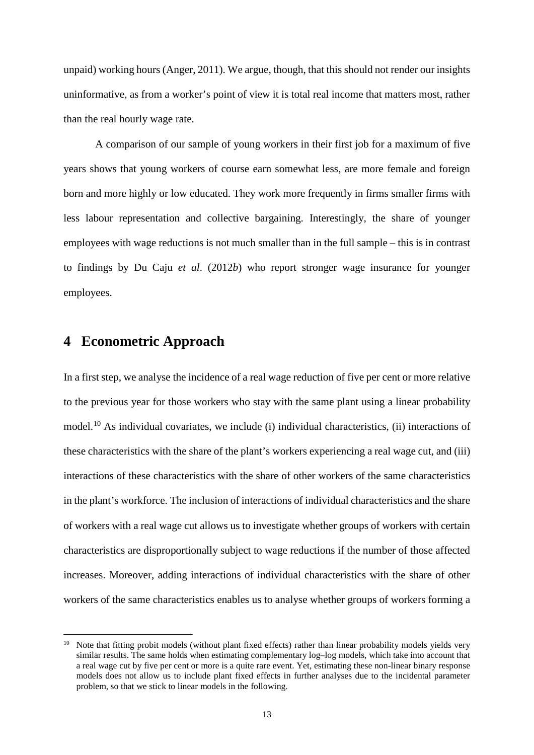unpaid) working hours (Anger, 2011). We argue, though, that this should not render our insights uninformative, as from a worker's point of view it is total real income that matters most, rather than the real hourly wage rate.

A comparison of our sample of young workers in their first job for a maximum of five years shows that young workers of course earn somewhat less, are more female and foreign born and more highly or low educated. They work more frequently in firms smaller firms with less labour representation and collective bargaining. Interestingly, the share of younger employees with wage reductions is not much smaller than in the full sample – this is in contrast to findings by Du Caju *et al*. (2012*b*) who report stronger wage insurance for younger employees.

## **4 Econometric Approach**

-

In a first step, we analyse the incidence of a real wage reduction of five per cent or more relative to the previous year for those workers who stay with the same plant using a linear probability model.[10](#page-15-0) As individual covariates, we include (i) individual characteristics, (ii) interactions of these characteristics with the share of the plant's workers experiencing a real wage cut, and (iii) interactions of these characteristics with the share of other workers of the same characteristics in the plant's workforce. The inclusion of interactions of individual characteristics and the share of workers with a real wage cut allows us to investigate whether groups of workers with certain characteristics are disproportionally subject to wage reductions if the number of those affected increases. Moreover, adding interactions of individual characteristics with the share of other workers of the same characteristics enables us to analyse whether groups of workers forming a

<span id="page-15-0"></span> $10$  Note that fitting probit models (without plant fixed effects) rather than linear probability models yields very similar results. The same holds when estimating complementary log–log models, which take into account that a real wage cut by five per cent or more is a quite rare event. Yet, estimating these non-linear binary response models does not allow us to include plant fixed effects in further analyses due to the incidental parameter problem, so that we stick to linear models in the following.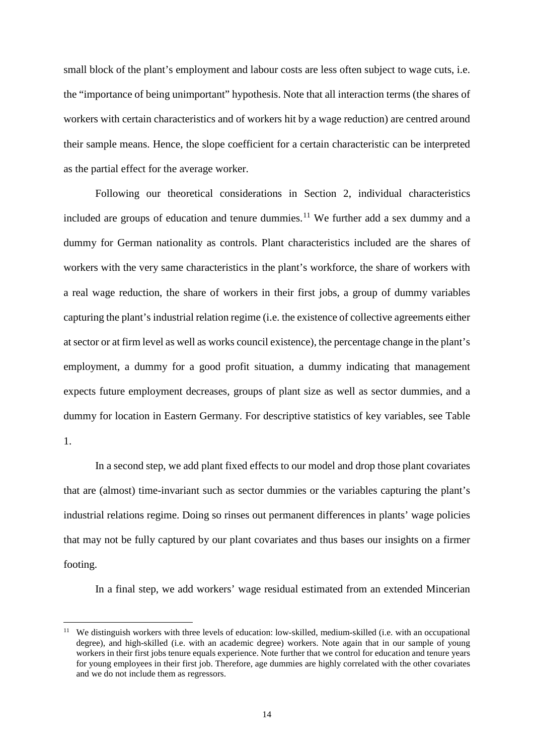small block of the plant's employment and labour costs are less often subject to wage cuts, i.e. the "importance of being unimportant" hypothesis. Note that all interaction terms (the shares of workers with certain characteristics and of workers hit by a wage reduction) are centred around their sample means. Hence, the slope coefficient for a certain characteristic can be interpreted as the partial effect for the average worker.

Following our theoretical considerations in Section 2, individual characteristics included are groups of education and tenure dummies.<sup>[11](#page-16-0)</sup> We further add a sex dummy and a dummy for German nationality as controls. Plant characteristics included are the shares of workers with the very same characteristics in the plant's workforce, the share of workers with a real wage reduction, the share of workers in their first jobs, a group of dummy variables capturing the plant's industrial relation regime (i.e. the existence of collective agreements either at sector or at firm level as well as works council existence), the percentage change in the plant's employment, a dummy for a good profit situation, a dummy indicating that management expects future employment decreases, groups of plant size as well as sector dummies, and a dummy for location in Eastern Germany. For descriptive statistics of key variables, see Table 1.

In a second step, we add plant fixed effects to our model and drop those plant covariates that are (almost) time-invariant such as sector dummies or the variables capturing the plant's industrial relations regime. Doing so rinses out permanent differences in plants' wage policies that may not be fully captured by our plant covariates and thus bases our insights on a firmer footing.

In a final step, we add workers' wage residual estimated from an extended Mincerian

-

<span id="page-16-0"></span><sup>&</sup>lt;sup>11</sup> We distinguish workers with three levels of education: low-skilled, medium-skilled (i.e. with an occupational degree), and high-skilled (i.e. with an academic degree) workers. Note again that in our sample of young workers in their first jobs tenure equals experience. Note further that we control for education and tenure years for young employees in their first job. Therefore, age dummies are highly correlated with the other covariates and we do not include them as regressors.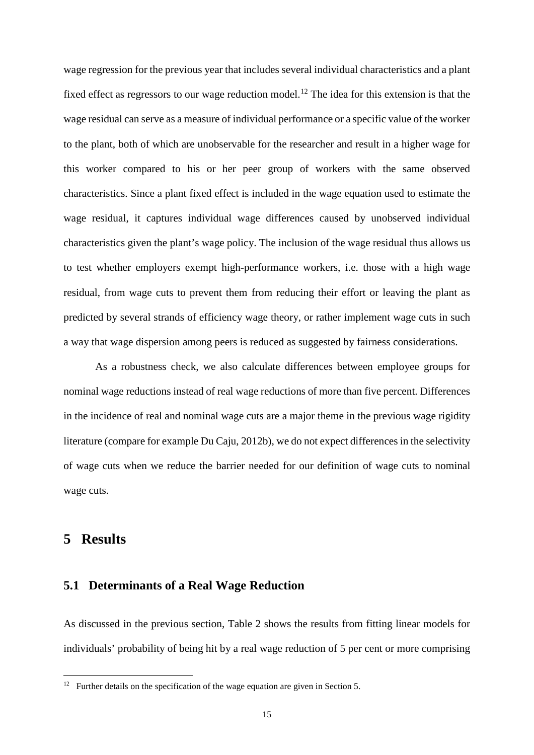wage regression for the previous year that includes several individual characteristics and a plant fixed effect as regressors to our wage reduction model.<sup>[12](#page-17-0)</sup> The idea for this extension is that the wage residual can serve as a measure of individual performance or a specific value of the worker to the plant, both of which are unobservable for the researcher and result in a higher wage for this worker compared to his or her peer group of workers with the same observed characteristics. Since a plant fixed effect is included in the wage equation used to estimate the wage residual, it captures individual wage differences caused by unobserved individual characteristics given the plant's wage policy. The inclusion of the wage residual thus allows us to test whether employers exempt high-performance workers, i.e. those with a high wage residual, from wage cuts to prevent them from reducing their effort or leaving the plant as predicted by several strands of efficiency wage theory, or rather implement wage cuts in such a way that wage dispersion among peers is reduced as suggested by fairness considerations.

As a robustness check, we also calculate differences between employee groups for nominal wage reductions instead of real wage reductions of more than five percent. Differences in the incidence of real and nominal wage cuts are a major theme in the previous wage rigidity literature (compare for example Du Caju, 2012b), we do not expect differences in the selectivity of wage cuts when we reduce the barrier needed for our definition of wage cuts to nominal wage cuts.

### **5 Results**

<u>.</u>

#### **5.1 Determinants of a Real Wage Reduction**

As discussed in the previous section, Table 2 shows the results from fitting linear models for individuals' probability of being hit by a real wage reduction of 5 per cent or more comprising

<span id="page-17-0"></span> $12$  Further details on the specification of the wage equation are given in Section 5.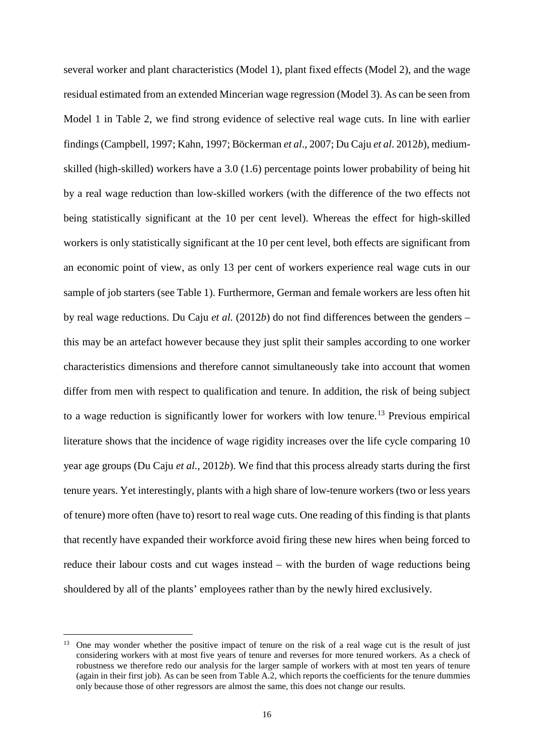several worker and plant characteristics (Model 1), plant fixed effects (Model 2), and the wage residual estimated from an extended Mincerian wage regression (Model 3). As can be seen from Model 1 in Table 2, we find strong evidence of selective real wage cuts. In line with earlier findings (Campbell, 1997; Kahn, 1997; Böckerman *et al*., 2007; Du Caju *et al*. 2012*b*), mediumskilled (high-skilled) workers have a 3.0 (1.6) percentage points lower probability of being hit by a real wage reduction than low-skilled workers (with the difference of the two effects not being statistically significant at the 10 per cent level). Whereas the effect for high-skilled workers is only statistically significant at the 10 per cent level, both effects are significant from an economic point of view, as only 13 per cent of workers experience real wage cuts in our sample of job starters (see Table 1). Furthermore, German and female workers are less often hit by real wage reductions. Du Caju *et al.* (2012*b*) do not find differences between the genders – this may be an artefact however because they just split their samples according to one worker characteristics dimensions and therefore cannot simultaneously take into account that women differ from men with respect to qualification and tenure. In addition, the risk of being subject to a wage reduction is significantly lower for workers with low tenure.<sup>[13](#page-18-0)</sup> Previous empirical literature shows that the incidence of wage rigidity increases over the life cycle comparing 10 year age groups (Du Caju *et al.*, 2012*b*). We find that this process already starts during the first tenure years. Yet interestingly, plants with a high share of low-tenure workers (two or less years of tenure) more often (have to) resort to real wage cuts. One reading of this finding is that plants that recently have expanded their workforce avoid firing these new hires when being forced to reduce their labour costs and cut wages instead – with the burden of wage reductions being shouldered by all of the plants' employees rather than by the newly hired exclusively.

-

<span id="page-18-0"></span><sup>&</sup>lt;sup>13</sup> One may wonder whether the positive impact of tenure on the risk of a real wage cut is the result of just considering workers with at most five years of tenure and reverses for more tenured workers. As a check of robustness we therefore redo our analysis for the larger sample of workers with at most ten years of tenure (again in their first job). As can be seen from Table A.2, which reports the coefficients for the tenure dummies only because those of other regressors are almost the same, this does not change our results.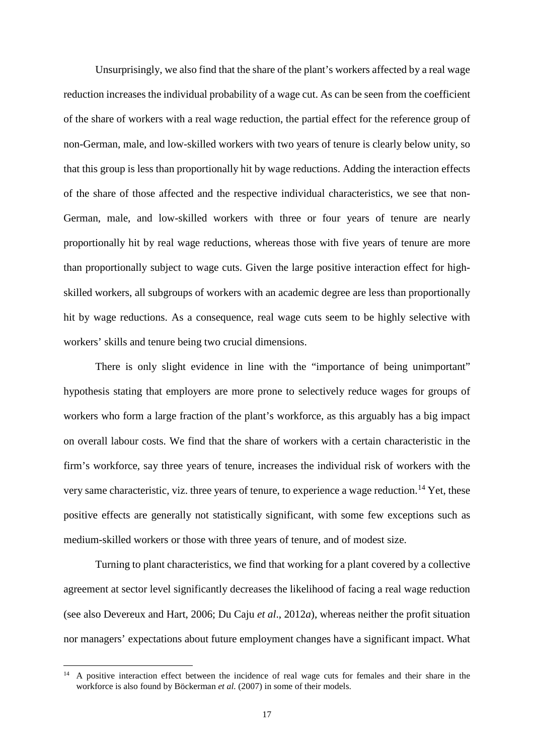Unsurprisingly, we also find that the share of the plant's workers affected by a real wage reduction increases the individual probability of a wage cut. As can be seen from the coefficient of the share of workers with a real wage reduction, the partial effect for the reference group of non-German, male, and low-skilled workers with two years of tenure is clearly below unity, so that this group is less than proportionally hit by wage reductions. Adding the interaction effects of the share of those affected and the respective individual characteristics, we see that non-German, male, and low-skilled workers with three or four years of tenure are nearly proportionally hit by real wage reductions, whereas those with five years of tenure are more than proportionally subject to wage cuts. Given the large positive interaction effect for highskilled workers, all subgroups of workers with an academic degree are less than proportionally hit by wage reductions. As a consequence, real wage cuts seem to be highly selective with workers' skills and tenure being two crucial dimensions.

There is only slight evidence in line with the "importance of being unimportant" hypothesis stating that employers are more prone to selectively reduce wages for groups of workers who form a large fraction of the plant's workforce, as this arguably has a big impact on overall labour costs. We find that the share of workers with a certain characteristic in the firm's workforce, say three years of tenure, increases the individual risk of workers with the very same characteristic, viz. three years of tenure, to experience a wage reduction.<sup>[14](#page-19-0)</sup> Yet, these positive effects are generally not statistically significant, with some few exceptions such as medium-skilled workers or those with three years of tenure, and of modest size.

Turning to plant characteristics, we find that working for a plant covered by a collective agreement at sector level significantly decreases the likelihood of facing a real wage reduction (see also Devereux and Hart, 2006; Du Caju *et al*., 2012*a*), whereas neither the profit situation nor managers' expectations about future employment changes have a significant impact. What

<u>.</u>

<span id="page-19-0"></span><sup>14</sup> A positive interaction effect between the incidence of real wage cuts for females and their share in the workforce is also found by Böckerman *et al.* (2007) in some of their models.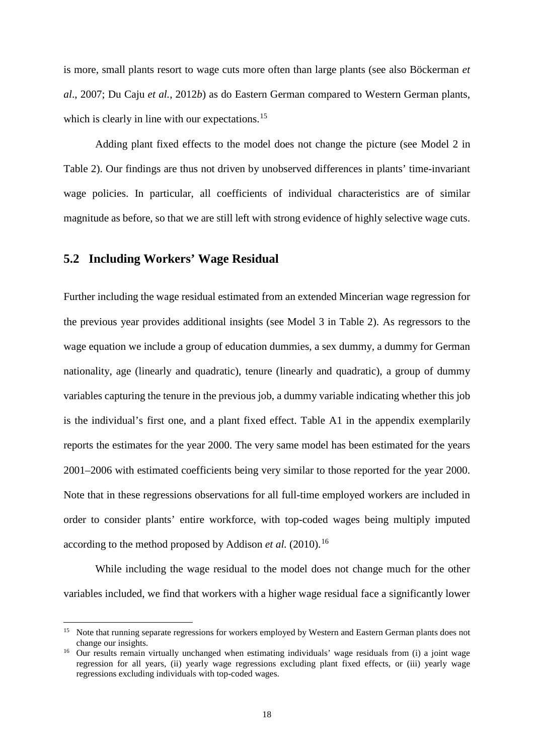is more, small plants resort to wage cuts more often than large plants (see also Böckerman *et al*., 2007; Du Caju *et al.*, 2012*b*) as do Eastern German compared to Western German plants, which is clearly in line with our expectations.<sup>[15](#page-20-0)</sup>

Adding plant fixed effects to the model does not change the picture (see Model 2 in Table 2). Our findings are thus not driven by unobserved differences in plants' time-invariant wage policies. In particular, all coefficients of individual characteristics are of similar magnitude as before, so that we are still left with strong evidence of highly selective wage cuts.

#### **5.2 Including Workers' Wage Residual**

-

Further including the wage residual estimated from an extended Mincerian wage regression for the previous year provides additional insights (see Model 3 in Table 2). As regressors to the wage equation we include a group of education dummies, a sex dummy, a dummy for German nationality, age (linearly and quadratic), tenure (linearly and quadratic), a group of dummy variables capturing the tenure in the previous job, a dummy variable indicating whether this job is the individual's first one, and a plant fixed effect. Table A1 in the appendix exemplarily reports the estimates for the year 2000. The very same model has been estimated for the years 2001–2006 with estimated coefficients being very similar to those reported for the year 2000. Note that in these regressions observations for all full-time employed workers are included in order to consider plants' entire workforce, with top-coded wages being multiply imputed according to the method proposed by Addison *et al.* (2010).<sup>[16](#page-20-1)</sup>

While including the wage residual to the model does not change much for the other variables included, we find that workers with a higher wage residual face a significantly lower

<span id="page-20-0"></span><sup>&</sup>lt;sup>15</sup> Note that running separate regressions for workers employed by Western and Eastern German plants does not change our insights.

<span id="page-20-1"></span><sup>&</sup>lt;sup>16</sup> Our results remain virtually unchanged when estimating individuals' wage residuals from (i) a joint wage regression for all years, (ii) yearly wage regressions excluding plant fixed effects, or (iii) yearly wage regressions excluding individuals with top-coded wages.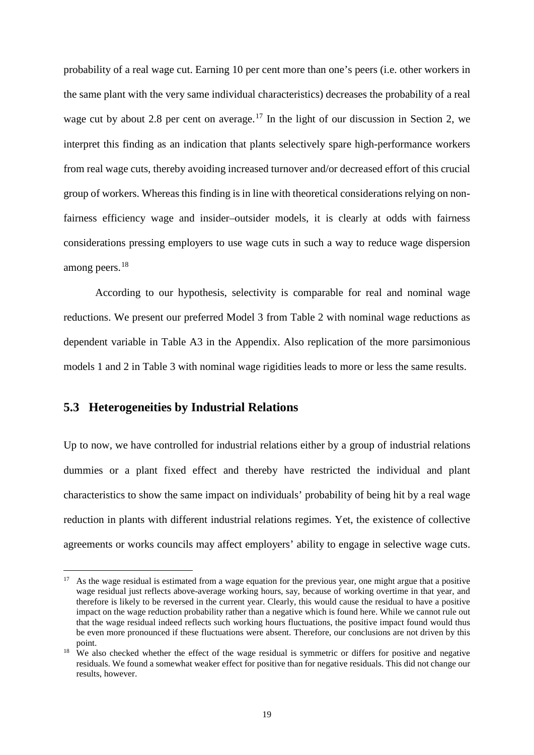probability of a real wage cut. Earning 10 per cent more than one's peers (i.e. other workers in the same plant with the very same individual characteristics) decreases the probability of a real wage cut by about 2.8 per cent on average.<sup>[17](#page-21-0)</sup> In the light of our discussion in Section 2, we interpret this finding as an indication that plants selectively spare high-performance workers from real wage cuts, thereby avoiding increased turnover and/or decreased effort of this crucial group of workers. Whereas this finding is in line with theoretical considerations relying on nonfairness efficiency wage and insider–outsider models, it is clearly at odds with fairness considerations pressing employers to use wage cuts in such a way to reduce wage dispersion among peers.<sup>[18](#page-21-1)</sup>

According to our hypothesis, selectivity is comparable for real and nominal wage reductions. We present our preferred Model 3 from Table 2 with nominal wage reductions as dependent variable in Table A3 in the Appendix. Also replication of the more parsimonious models 1 and 2 in Table 3 with nominal wage rigidities leads to more or less the same results.

#### **5.3 Heterogeneities by Industrial Relations**

Up to now, we have controlled for industrial relations either by a group of industrial relations dummies or a plant fixed effect and thereby have restricted the individual and plant characteristics to show the same impact on individuals' probability of being hit by a real wage reduction in plants with different industrial relations regimes. Yet, the existence of collective agreements or works councils may affect employers' ability to engage in selective wage cuts.

<span id="page-21-0"></span>As the wage residual is estimated from a wage equation for the previous year, one might argue that a positive wage residual just reflects above-average working hours, say, because of working overtime in that year, and therefore is likely to be reversed in the current year. Clearly, this would cause the residual to have a positive impact on the wage reduction probability rather than a negative which is found here. While we cannot rule out that the wage residual indeed reflects such working hours fluctuations, the positive impact found would thus be even more pronounced if these fluctuations were absent. Therefore, our conclusions are not driven by this point. -

<span id="page-21-1"></span><sup>&</sup>lt;sup>18</sup> We also checked whether the effect of the wage residual is symmetric or differs for positive and negative residuals. We found a somewhat weaker effect for positive than for negative residuals. This did not change our results, however.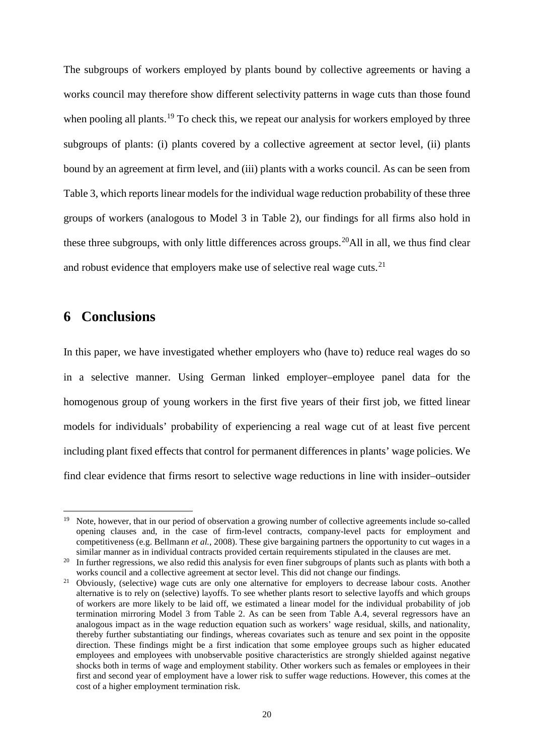The subgroups of workers employed by plants bound by collective agreements or having a works council may therefore show different selectivity patterns in wage cuts than those found when pooling all plants.<sup>[19](#page-22-0)</sup> To check this, we repeat our analysis for workers employed by three subgroups of plants: (i) plants covered by a collective agreement at sector level, (ii) plants bound by an agreement at firm level, and (iii) plants with a works council. As can be seen from Table 3, which reports linear models for the individual wage reduction probability of these three groups of workers (analogous to Model 3 in Table 2), our findings for all firms also hold in these three subgroups, with only little differences across groups.<sup>[20](#page-22-1)</sup>All in all, we thus find clear and robust evidence that employers make use of selective real wage cuts.<sup>[21](#page-22-2)</sup>

# **6 Conclusions**

-

In this paper, we have investigated whether employers who (have to) reduce real wages do so in a selective manner. Using German linked employer–employee panel data for the homogenous group of young workers in the first five years of their first job, we fitted linear models for individuals' probability of experiencing a real wage cut of at least five percent including plant fixed effects that control for permanent differences in plants' wage policies. We find clear evidence that firms resort to selective wage reductions in line with insider–outsider

<span id="page-22-0"></span><sup>&</sup>lt;sup>19</sup> Note, however, that in our period of observation a growing number of collective agreements include so-called opening clauses and, in the case of firm-level contracts, company-level pacts for employment and competitiveness (e.g. Bellmann *et al.*, 2008). These give bargaining partners the opportunity to cut wages in a similar manner as in individual contracts provided certain requirements stipulated in the clauses are met.

<span id="page-22-1"></span><sup>&</sup>lt;sup>20</sup> In further regressions, we also redid this analysis for even finer subgroups of plants such as plants with both a works council and a collective agreement at sector level. This did not change our findings.

<span id="page-22-2"></span><sup>&</sup>lt;sup>21</sup> Obviously, (selective) wage cuts are only one alternative for employers to decrease labour costs. Another alternative is to rely on (selective) layoffs. To see whether plants resort to selective layoffs and which groups of workers are more likely to be laid off, we estimated a linear model for the individual probability of job termination mirroring Model 3 from Table 2. As can be seen from Table A.4, several regressors have an analogous impact as in the wage reduction equation such as workers' wage residual, skills, and nationality, thereby further substantiating our findings, whereas covariates such as tenure and sex point in the opposite direction. These findings might be a first indication that some employee groups such as higher educated employees and employees with unobservable positive characteristics are strongly shielded against negative shocks both in terms of wage and employment stability. Other workers such as females or employees in their first and second year of employment have a lower risk to suffer wage reductions. However, this comes at the cost of a higher employment termination risk.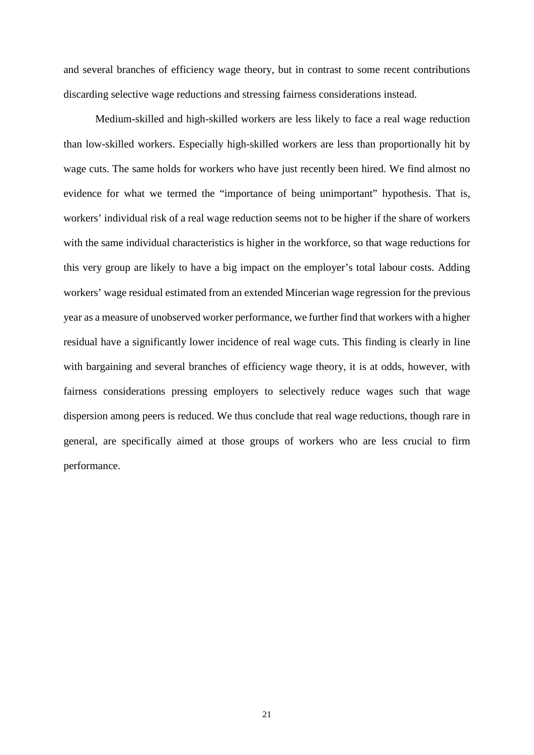and several branches of efficiency wage theory, but in contrast to some recent contributions discarding selective wage reductions and stressing fairness considerations instead.

Medium-skilled and high-skilled workers are less likely to face a real wage reduction than low-skilled workers. Especially high-skilled workers are less than proportionally hit by wage cuts. The same holds for workers who have just recently been hired. We find almost no evidence for what we termed the "importance of being unimportant" hypothesis. That is, workers' individual risk of a real wage reduction seems not to be higher if the share of workers with the same individual characteristics is higher in the workforce, so that wage reductions for this very group are likely to have a big impact on the employer's total labour costs. Adding workers' wage residual estimated from an extended Mincerian wage regression for the previous year as a measure of unobserved worker performance, we further find that workers with a higher residual have a significantly lower incidence of real wage cuts. This finding is clearly in line with bargaining and several branches of efficiency wage theory, it is at odds, however, with fairness considerations pressing employers to selectively reduce wages such that wage dispersion among peers is reduced. We thus conclude that real wage reductions, though rare in general, are specifically aimed at those groups of workers who are less crucial to firm performance.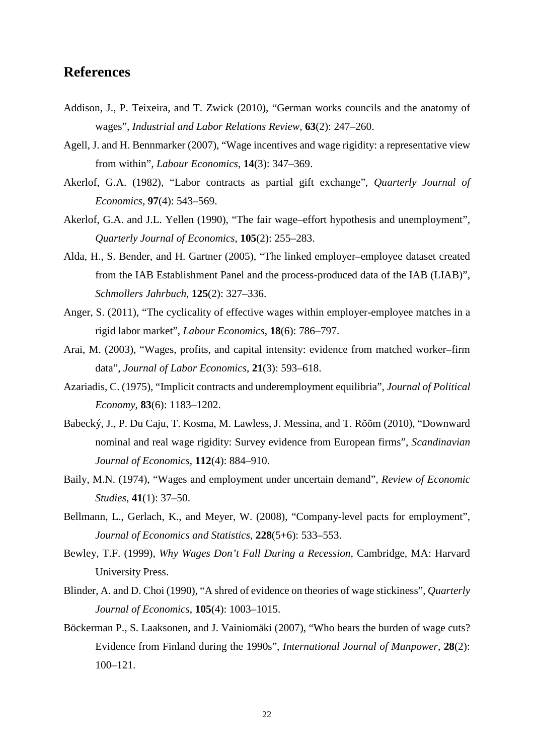# **References**

- Addison, J., P. Teixeira, and T. Zwick (2010), "German works councils and the anatomy of wages", *Industrial and Labor Relations Review*, **63**(2): 247–260.
- Agell, J. and H. Bennmarker (2007), "Wage incentives and wage rigidity: a representative view from within", *Labour Economics*, **14**(3): 347–369.
- Akerlof, G.A. (1982), "Labor contracts as partial gift exchange", *Quarterly Journal of Economics*, **97**(4): 543–569.
- Akerlof, G.A. and J.L. Yellen (1990), "The fair wage–effort hypothesis and unemployment", *Quarterly Journal of Economics*, **105**(2): 255–283.
- Alda, H., S. Bender, and H. Gartner (2005), "The linked employer–employee dataset created from the IAB Establishment Panel and the process-produced data of the IAB (LIAB)", *Schmollers Jahrbuch*, **125**(2): 327–336.
- Anger, S. (2011), "The cyclicality of effective wages within employer-employee matches in a rigid labor market", *Labour Economics*, **18**(6): 786–797.
- Arai, M. (2003), "Wages, profits, and capital intensity: evidence from matched worker–firm data", *Journal of Labor Economics*, **21**(3): 593–618.
- Azariadis, C. (1975), "Implicit contracts and underemployment equilibria", *Journal of Political Economy*, **83**(6): 1183–1202.
- Babecký, J., P. Du Caju, T. Kosma, M. Lawless, J. Messina, and T. Rõõm (2010), "Downward nominal and real wage rigidity: Survey evidence from European firms", *Scandinavian Journal of Economics*, **112**(4): 884–910.
- Baily, M.N. (1974), "Wages and employment under uncertain demand", *Review of Economic Studies*, **41**(1): 37–50.
- Bellmann, L., Gerlach, K., and Meyer, W. (2008), "Company-level pacts for employment", *Journal of Economics and Statistics*, **228**(5+6): 533–553.
- Bewley, T.F. (1999), *Why Wages Don't Fall During a Recession*, Cambridge, MA: Harvard University Press.
- Blinder, A. and D. Choi (1990), "A shred of evidence on theories of wage stickiness", *Quarterly Journal of Economics*, **105**(4): 1003–1015.
- Böckerman P., S. Laaksonen, and J. Vainiomäki (2007), "Who bears the burden of wage cuts? Evidence from Finland during the 1990s", *International Journal of Manpower*, **28**(2): 100–121.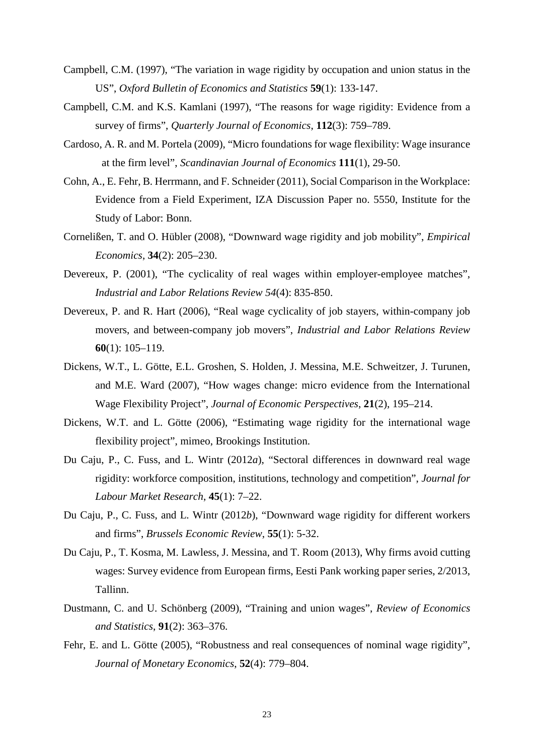- Campbell, C.M. (1997), "The variation in wage rigidity by occupation and union status in the US", *Oxford Bulletin of Economics and Statistics* **59**(1): 133-147.
- Campbell, C.M. and K.S. Kamlani (1997), "The reasons for wage rigidity: Evidence from a survey of firms", *Quarterly Journal of Economics*, **112**(3): 759–789.
- Cardoso, A. R. and M. Portela (2009), "Micro foundations for wage flexibility: Wage insurance at the firm level", *Scandinavian Journal of Economics* **111**(1), 29-50.
- Cohn, A., E. Fehr, B. Herrmann, and F. Schneider (2011), Social Comparison in the Workplace: Evidence from a Field Experiment, IZA Discussion Paper no. 5550, Institute for the Study of Labor: Bonn.
- Cornelißen, T. and O. Hübler (2008), "Downward wage rigidity and job mobility", *Empirical Economics*, **34**(2): 205–230.
- Devereux, P. (2001), "The cyclicality of real wages within employer-employee matches", *Industrial and Labor Relations Review 54*(4): 835-850.
- Devereux, P. and R. Hart (2006), "Real wage cyclicality of job stayers, within-company job movers, and between-company job movers", *Industrial and Labor Relations Review*  **60**(1): 105–119.
- Dickens, W.T., L. Götte, E.L. Groshen, S. Holden, J. Messina, M.E. Schweitzer, J. Turunen, and M.E. Ward (2007), "How wages change: micro evidence from the International Wage Flexibility Project", *Journal of Economic Perspectives*, **21**(2), 195–214.
- Dickens, W.T. and L. Götte (2006), "Estimating wage rigidity for the international wage flexibility project", mimeo, Brookings Institution.
- Du Caju, P., C. Fuss, and L. Wintr (2012*a*), "Sectoral differences in downward real wage rigidity: workforce composition, institutions, technology and competition", *Journal for Labour Market Research*, **45**(1): 7–22.
- Du Caju, P., C. Fuss, and L. Wintr (2012*b*), "Downward wage rigidity for different workers and firms", *Brussels Economic Review*, **55**(1): 5-32.
- Du Caju, P., T. Kosma, M. Lawless, J. Messina, and T. Room (2013), Why firms avoid cutting wages: Survey evidence from European firms, Eesti Pank working paper series, 2/2013, Tallinn.
- Dustmann, C. and U. Schönberg (2009), "Training and union wages", *Review of Economics and Statistics*, **91**(2): 363–376.
- Fehr, E. and L. Götte (2005), "Robustness and real consequences of nominal wage rigidity", *Journal of Monetary Economics*, **52**(4): 779–804.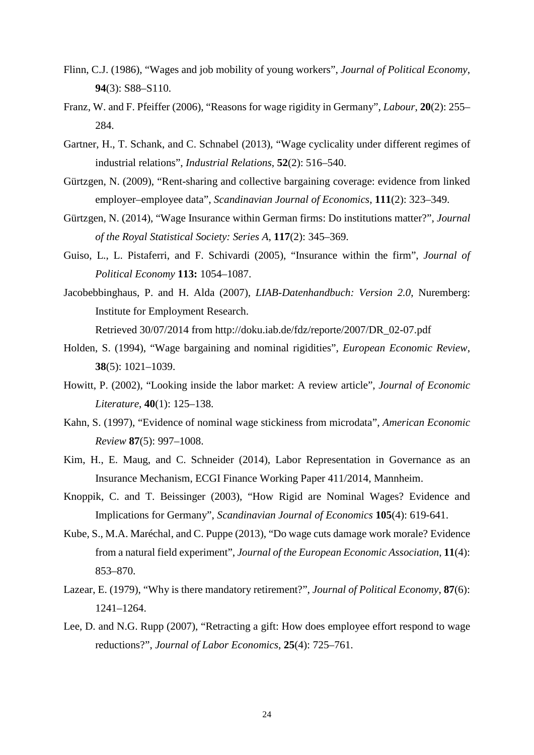- Flinn, C.J. (1986), "Wages and job mobility of young workers", *Journal of Political Economy*, **94**(3): S88–S110.
- Franz, W. and F. Pfeiffer (2006), "Reasons for wage rigidity in Germany", *Labour*, **20**(2): 255– 284.
- Gartner, H., T. Schank, and C. Schnabel (2013), "Wage cyclicality under different regimes of industrial relations", *Industrial Relations*, **52**(2): 516–540.
- Gürtzgen, N. (2009), "Rent-sharing and collective bargaining coverage: evidence from linked employer–employee data", *Scandinavian Journal of Economics*, **111**(2): 323–349.
- Gürtzgen, N. (2014), "Wage Insurance within German firms: Do institutions matter?", *Journal of the Royal Statistical Society: Series A*, **117**(2): 345–369.
- Guiso, L., L. Pistaferri, and F. Schivardi (2005), "Insurance within the firm", *Journal of Political Economy* **113:** 1054–1087.
- Jacobebbinghaus, P. and H. Alda (2007), *LIAB-Datenhandbuch: Version 2.0*, Nuremberg: Institute for Employment Research.

Retrieved 30/07/2014 from http://doku.iab.de/fdz/reporte/2007/DR\_02-07.pdf

- Holden, S. (1994), "Wage bargaining and nominal rigidities", *European Economic Review*, **38**(5): 1021–1039.
- Howitt, P. (2002), "Looking inside the labor market: A review article", *Journal of Economic Literature*, **40**(1): 125–138.
- Kahn, S. (1997), "Evidence of nominal wage stickiness from microdata", *American Economic Review* **87**(5): 997–1008.
- Kim, H., E. Maug, and C. Schneider (2014), Labor Representation in Governance as an Insurance Mechanism, ECGI Finance Working Paper 411/2014, Mannheim.
- Knoppik, C. and T. Beissinger (2003), "How Rigid are Nominal Wages? Evidence and Implications for Germany", *Scandinavian Journal of Economics* **105**(4): 619-641.
- Kube, S., M.A. Maréchal, and C. Puppe (2013), "Do wage cuts damage work morale? Evidence from a natural field experiment", *Journal of the European Economic Association*, **11**(4): 853–870.
- Lazear, E. (1979), "Why is there mandatory retirement?", *Journal of Political Economy*, **87**(6): 1241–1264.
- Lee, D. and N.G. Rupp (2007), "Retracting a gift: How does employee effort respond to wage reductions?", *Journal of Labor Economics*, **25**(4): 725–761.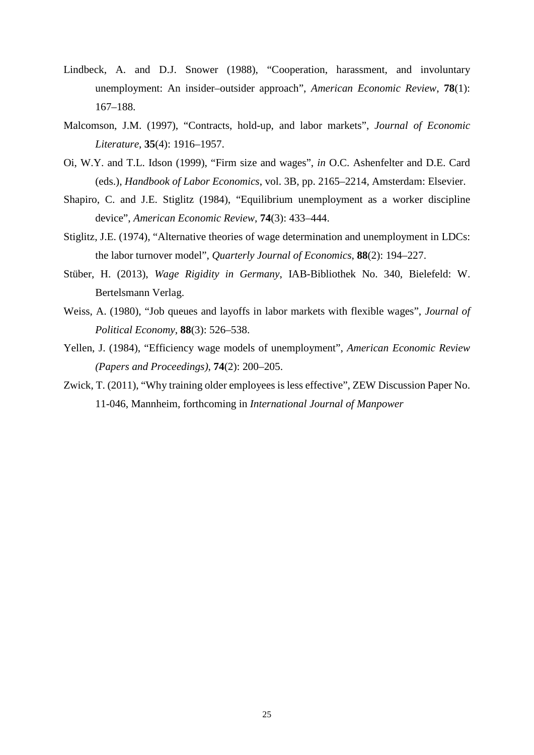- Lindbeck, A. and D.J. Snower (1988), "Cooperation, harassment, and involuntary unemployment: An insider–outsider approach", *American Economic Review*, **78**(1): 167–188.
- Malcomson, J.M. (1997), "Contracts, hold-up, and labor markets", *Journal of Economic Literature*, **35**(4): 1916–1957.
- Oi, W.Y. and T.L. Idson (1999), "Firm size and wages", *in* O.C. Ashenfelter and D.E. Card (eds.), *Handbook of Labor Economics*, vol. 3B, pp. 2165–2214, Amsterdam: Elsevier.
- Shapiro, C. and J.E. Stiglitz (1984), "Equilibrium unemployment as a worker discipline device", *American Economic Review*, **74**(3): 433–444.
- Stiglitz, J.E. (1974), "Alternative theories of wage determination and unemployment in LDCs: the labor turnover model", *Quarterly Journal of Economics*, **88**(2): 194–227.
- Stüber, H. (2013), *Wage Rigidity in Germany*, IAB-Bibliothek No. 340, Bielefeld: W. Bertelsmann Verlag.
- Weiss, A. (1980), "Job queues and layoffs in labor markets with flexible wages", *Journal of Political Economy*, **88**(3): 526–538.
- Yellen, J. (1984), "Efficiency wage models of unemployment", *American Economic Review (Papers and Proceedings)*, **74**(2): 200–205.
- Zwick, T. (2011), "Why training older employees is less effective", ZEW Discussion Paper No. 11-046, Mannheim, forthcoming in *International Journal of Manpower*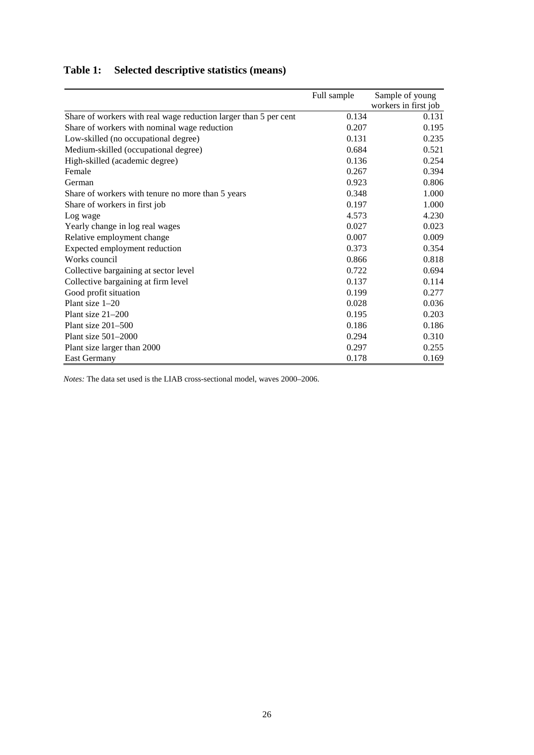# **Table 1: Selected descriptive statistics (means)**

|                                                                  | Full sample | Sample of young      |
|------------------------------------------------------------------|-------------|----------------------|
|                                                                  |             | workers in first job |
| Share of workers with real wage reduction larger than 5 per cent | 0.134       | 0.131                |
| Share of workers with nominal wage reduction                     | 0.207       | 0.195                |
| Low-skilled (no occupational degree)                             | 0.131       | 0.235                |
| Medium-skilled (occupational degree)                             | 0.684       | 0.521                |
| High-skilled (academic degree)                                   | 0.136       | 0.254                |
| Female                                                           | 0.267       | 0.394                |
| German                                                           | 0.923       | 0.806                |
| Share of workers with tenure no more than 5 years                | 0.348       | 1.000                |
| Share of workers in first job                                    | 0.197       | 1.000                |
| Log wage                                                         | 4.573       | 4.230                |
| Yearly change in log real wages                                  | 0.027       | 0.023                |
| Relative employment change                                       | 0.007       | 0.009                |
| Expected employment reduction                                    | 0.373       | 0.354                |
| Works council                                                    | 0.866       | 0.818                |
| Collective bargaining at sector level                            | 0.722       | 0.694                |
| Collective bargaining at firm level                              | 0.137       | 0.114                |
| Good profit situation                                            | 0.199       | 0.277                |
| Plant size $1-20$                                                | 0.028       | 0.036                |
| Plant size $21-200$                                              | 0.195       | 0.203                |
| Plant size $201-500$                                             | 0.186       | 0.186                |
| Plant size $501-2000$                                            | 0.294       | 0.310                |
| Plant size larger than 2000                                      | 0.297       | 0.255                |
| <b>East Germany</b>                                              | 0.178       | 0.169                |

*Notes:* The data set used is the LIAB cross-sectional model, waves 2000–2006.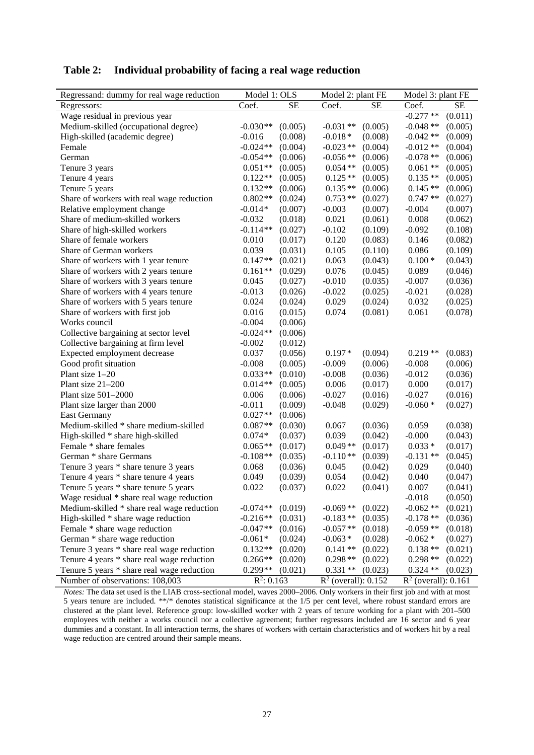| Regressand: dummy for real wage reduction  | Model 1: OLS          | Model 2: plant FE      | Model 3: plant FE      |
|--------------------------------------------|-----------------------|------------------------|------------------------|
| Regressors:                                | Coef.                 | Coef.                  | Coef.                  |
|                                            | SE                    | SE                     | SE                     |
| Wage residual in previous year             |                       |                        | $-0.277**$<br>(0.011)  |
| Medium-skilled (occupational degree)       | $-0.030**$            | $-0.031**$             | $-0.048**$             |
|                                            | (0.005)               | (0.005)                | (0.005)                |
| High-skilled (academic degree)             | (0.008)               | $-0.018*$              | $-0.042**$             |
|                                            | $-0.016$              | (0.008)                | (0.009)                |
| Female                                     | $-0.024**$            | $-0.023**$             | $-0.012**$             |
|                                            | (0.004)               | (0.004)                | (0.004)                |
| German                                     | (0.006)               | $-0.056**$             | $-0.078**$             |
|                                            | $-0.054**$            | (0.006)                | (0.006)                |
| Tenure 3 years                             | $0.051**$             | $0.054**$              | $0.061**$              |
|                                            | (0.005)               | (0.005)                | (0.005)                |
| Tenure 4 years                             | $0.122**$             | $0.125**$              | $0.135**$              |
|                                            | (0.005)               | (0.005)                | (0.005)                |
| Tenure 5 years                             | $0.132**$             | $0.135**$              | $0.145**$              |
|                                            | (0.006)               | (0.006)                | (0.006)                |
| Share of workers with real wage reduction  | $0.802**$             | $0.753**$              | $0.747**$              |
|                                            | (0.024)               | (0.027)                | (0.027)                |
| Relative employment change                 | $-0.014*$             | $-0.003$               | $-0.004$               |
|                                            | (0.007)               | (0.007)                | (0.007)                |
| Share of medium-skilled workers            | $-0.032$              | 0.021                  | 0.008                  |
|                                            | (0.018)               | (0.061)                | (0.062)                |
| Share of high-skilled workers              | $-0.114**$            | $-0.102$               | $-0.092$               |
|                                            | (0.027)               | (0.109)                | (0.108)                |
| Share of female workers                    | 0.010                 | 0.120                  | 0.146                  |
|                                            | (0.017)               | (0.083)                | (0.082)                |
| Share of German workers                    | 0.039                 | 0.105                  | 0.086                  |
|                                            | (0.031)               | (0.110)                | (0.109)                |
| Share of workers with 1 year tenure        | $0.147**$             | 0.063                  | $0.100*$               |
|                                            | (0.021)               | (0.043)                | (0.043)                |
| Share of workers with 2 years tenure       | $0.161**$             | 0.076                  | 0.089                  |
|                                            | (0.029)               | (0.045)                | (0.046)                |
| Share of workers with 3 years tenure       | 0.045                 | $-0.010$               | $-0.007$               |
|                                            | (0.027)               | (0.035)                | (0.036)                |
| Share of workers with 4 years tenure       | $-0.013$              | $-0.022$               | $-0.021$               |
|                                            | (0.026)               | (0.025)                | (0.028)                |
| Share of workers with 5 years tenure       | 0.024                 | 0.029                  | 0.032                  |
|                                            | (0.024)               | (0.024)                | (0.025)                |
| Share of workers with first job            | 0.016                 | 0.074                  | 0.061                  |
|                                            | (0.015)               | (0.081)                | (0.078)                |
| Works council                              | $-0.004$<br>(0.006)   |                        |                        |
| Collective bargaining at sector level      | $-0.024**$<br>(0.006) |                        |                        |
| Collective bargaining at firm level        | $-0.002$<br>(0.012)   |                        |                        |
| Expected employment decrease               | 0.037                 | $0.197*$               | $0.219**$              |
|                                            | (0.056)               | (0.094)                | (0.083)                |
| Good profit situation                      | $-0.008$              | (0.006)                | $-0.008$               |
|                                            | (0.005)               | $-0.009$               | (0.006)                |
| Plant size 1-20                            | $0.033**$             | $-0.008$               | $-0.012$               |
|                                            | (0.010)               | (0.036)                | (0.036)                |
| Plant size 21-200                          | $0.014**$             | 0.006                  | 0.000                  |
|                                            | (0.005)               | (0.017)                | (0.017)                |
| Plant size 501-2000                        | 0.006                 | $-0.027$               | $-0.027$               |
|                                            | (0.006)               | (0.016)                | (0.016)                |
| Plant size larger than 2000                | $-0.011$              | $-0.048$               | $-0.060*$              |
|                                            | (0.009)               | (0.029)                | (0.027)                |
| <b>East Germany</b>                        | $0.027**$<br>(0.006)  |                        |                        |
| Medium-skilled * share medium-skilled      | $0.087**$             | 0.067                  | 0.059                  |
|                                            | (0.030)               | (0.036)                | (0.038)                |
| High-skilled * share high-skilled          | $0.074*$              | 0.039                  | $-0.000$               |
|                                            | (0.037)               | (0.042)                | (0.043)                |
| Female * share females                     | $0.065**$             | $0.049**$              | $0.033*$               |
|                                            | (0.017)               | (0.017)                | (0.017)                |
| German * share Germans                     | $-0.108**$            | $-0.110**$             | $-0.131$ **            |
|                                            | (0.035)               | (0.039)                | (0.045)                |
| Tenure 3 years * share tenure 3 years      | 0.068                 | 0.045                  | 0.029                  |
|                                            | (0.036)               | (0.042)                | (0.040)                |
| Tenure 4 years * share tenure 4 years      | 0.049                 | 0.054                  | 0.040                  |
|                                            | (0.039)               | (0.042)                | (0.047)                |
| Tenure 5 years * share tenure 5 years      | (0.037)               | (0.041)                | 0.007                  |
|                                            | 0.022                 | 0.022                  | (0.041)                |
| Wage residual * share real wage reduction  |                       |                        | $-0.018$<br>(0.050)    |
| Medium-skilled * share real wage reduction | $-0.074**$            | $-0.069**$             | $-0.062**$             |
|                                            | (0.019)               | (0.022)                | (0.021)                |
| High-skilled * share wage reduction        | $-0.216**$            | $-0.183**$             | $-0.178**$             |
|                                            | (0.031)               | (0.035)                | (0.036)                |
| Female * share wage reduction              | $-0.047**$            | $-0.057**$             | $-0.059**$             |
|                                            | (0.016)               | (0.018)                | (0.018)                |
| German * share wage reduction              | $-0.061*$             | $-0.063*$              | $-0.062*$              |
|                                            | (0.024)               | (0.028)                | (0.027)                |
| Tenure 3 years * share real wage reduction | $0.132**$             | $0.141**$              | $0.138**$              |
|                                            | (0.020)               | (0.022)                | (0.021)                |
| Tenure 4 years * share real wage reduction | $0.266**$             | $0.298**$              | $0.298**$              |
|                                            | (0.020)               | (0.022)                | (0.022)                |
| Tenure 5 years * share real wage reduction | 0.299**               | $0.331**$              | $0.324**$              |
|                                            | (0.021)               | (0.023)                | (0.023)                |
| Number of observations: 108,003            | $R^2$ : 0.163         | $R^2$ (overall): 0.152 | $R^2$ (overall): 0.161 |

**Table 2: Individual probability of facing a real wage reduction**

*Notes:* The data set used is the LIAB cross-sectional model, waves 2000–2006. Only workers in their first job and with at most 5 years tenure are included. \*\*/\* denotes statistical significance at the 1/5 per cent level, where robust standard errors are clustered at the plant level. Reference group: low-skilled worker with 2 years of tenure working for a plant with 201–500 employees with neither a works council nor a collective agreement; further regressors included are 16 sector and 6 year dummies and a constant. In all interaction terms, the shares of workers with certain characteristics and of workers hit by a real wage reduction are centred around their sample means.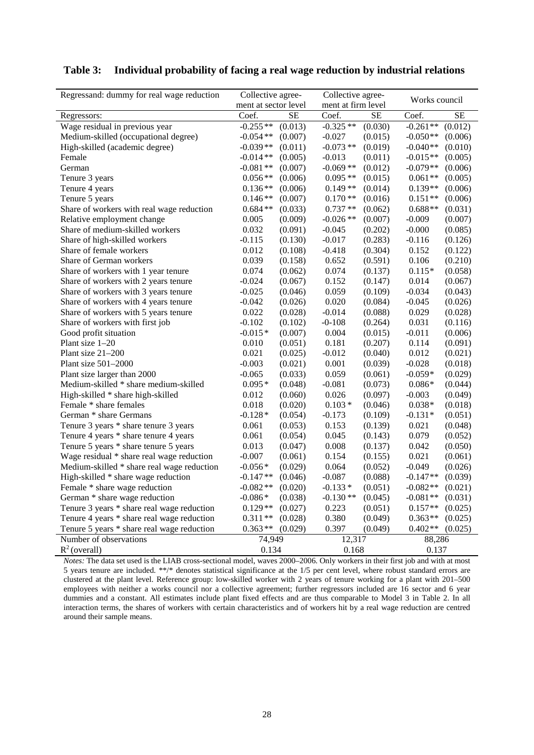| Regressand: dummy for real wage reduction  | Collective agree-      | Collective agree-  | Works council          |  |
|--------------------------------------------|------------------------|--------------------|------------------------|--|
|                                            | ment at sector level   | ment at firm level |                        |  |
| Regressors:                                | $\overline{\text{SE}}$ | Coef.              | Coef.                  |  |
|                                            | Coef.                  | SЕ                 | $\overline{\text{SE}}$ |  |
| Wage residual in previous year             | $-0.255**$             | $-0.325**$         | $-0.261**$             |  |
|                                            | (0.013)                | (0.030)            | (0.012)                |  |
| Medium-skilled (occupational degree)       | $-0.054**$             | $-0.027$           | $-0.050**$             |  |
|                                            | (0.007)                | (0.015)            | (0.006)                |  |
| High-skilled (academic degree)             | $-0.039**$             | $-0.073**$         | $-0.040**$             |  |
|                                            | (0.011)                | (0.019)            | (0.010)                |  |
| Female                                     | (0.005)                | $-0.013$           | $-0.015**$             |  |
|                                            | $-0.014**$             | (0.011)            | (0.005)                |  |
| German                                     | $-0.081**$             | $-0.069**$         | $-0.079**$             |  |
|                                            | (0.007)                | (0.012)            | (0.006)                |  |
| Tenure 3 years                             | $0.056**$              | $0.095**$          | $0.061**$              |  |
|                                            | (0.006)                | (0.015)            | (0.005)                |  |
| Tenure 4 years                             | $0.136**$              | $0.149**$          | $0.139**$              |  |
|                                            | (0.006)                | (0.014)            | (0.006)                |  |
| Tenure 5 years                             | $0.146**$              | $0.170**$          | $0.151**$              |  |
|                                            | (0.007)                | (0.016)            | (0.006)                |  |
| Share of workers with real wage reduction  | $0.684**$              | $0.737**$          | $0.688**$              |  |
|                                            | (0.033)                | (0.062)            | (0.031)                |  |
| Relative employment change                 | (0.009)                | $-0.026**$         | $-0.009$               |  |
|                                            | 0.005                  | (0.007)            | (0.007)                |  |
| Share of medium-skilled workers            | 0.032                  | $-0.045$           | $-0.000$               |  |
|                                            | (0.091)                | (0.202)            | (0.085)                |  |
| Share of high-skilled workers              | (0.130)                | $-0.017$           | $-0.116$               |  |
|                                            | $-0.115$               | (0.283)            | (0.126)                |  |
| Share of female workers                    | 0.012                  | $-0.418$           | 0.152                  |  |
|                                            | (0.108)                | (0.304)            | (0.122)                |  |
| Share of German workers                    | 0.039                  | (0.591)            | 0.106                  |  |
|                                            | (0.158)                | 0.652              | (0.210)                |  |
| Share of workers with 1 year tenure        | 0.074                  | 0.074              | $0.115*$               |  |
|                                            | (0.062)                | (0.137)            | (0.058)                |  |
| Share of workers with 2 years tenure       | $-0.024$               | 0.152              | 0.014                  |  |
|                                            | (0.067)                | (0.147)            | (0.067)                |  |
| Share of workers with 3 years tenure       | $-0.025$               | 0.059              | $-0.034$               |  |
|                                            | (0.046)                | (0.109)            | (0.043)                |  |
| Share of workers with 4 years tenure       | $-0.042$               | 0.020              | $-0.045$               |  |
|                                            | (0.026)                | (0.084)            | (0.026)                |  |
| Share of workers with 5 years tenure       | 0.022                  | $-0.014$           | 0.029                  |  |
|                                            | (0.028)                | (0.088)            | (0.028)                |  |
| Share of workers with first job            | $-0.102$               | $-0-108$           | 0.031                  |  |
|                                            | (0.102)                | (0.264)            | (0.116)                |  |
| Good profit situation                      | $-0.015*$              | 0.004              | $-0.011$               |  |
|                                            | (0.007)                | (0.015)            | (0.006)                |  |
| Plant size 1-20                            | 0.010                  | 0.181              | 0.114                  |  |
|                                            | (0.051)                | (0.207)            | (0.091)                |  |
| Plant size 21-200                          | 0.021                  | $-0.012$           | 0.012                  |  |
|                                            | (0.025)                | (0.040)            | (0.021)                |  |
| Plant size $501-2000$                      | $-0.003$               | 0.001              | $-0.028$               |  |
|                                            | (0.021)                | (0.039)            | (0.018)                |  |
| Plant size larger than 2000                | $-0.065$               | 0.059              | $-0.059*$              |  |
|                                            | (0.033)                | (0.061)            | (0.029)                |  |
| Medium-skilled * share medium-skilled      | $0.095*$               | $-0.081$           | $0.086*$               |  |
|                                            | (0.048)                | (0.073)            | (0.044)                |  |
| High-skilled * share high-skilled          | 0.012                  | 0.026              | $-0.003$               |  |
|                                            | (0.060)                | (0.097)            | (0.049)                |  |
| Female * share females                     | 0.018                  | $0.103*$           | $0.038*$               |  |
|                                            | (0.020)                | (0.046)            | (0.018)                |  |
| German * share Germans                     | $-0.128*$              | $-0.173$           | $-0.131*$              |  |
|                                            | (0.054)                | (0.109)            | (0.051)                |  |
| Tenure 3 years * share tenure 3 years      | 0.061                  | 0.153              | 0.021                  |  |
|                                            | (0.053)                | (0.139)            | (0.048)                |  |
| Tenure 4 years * share tenure 4 years      | 0.061                  | 0.045              | 0.079                  |  |
|                                            | (0.054)                | (0.143)            | (0.052)                |  |
| Tenure 5 years * share tenure 5 years      | 0.013                  | $0.008\,$          | 0.042                  |  |
|                                            | (0.047)                | (0.137)            | (0.050)                |  |
| Wage residual * share real wage reduction  | $-0.007$               | 0.154              | 0.021                  |  |
|                                            | (0.061)                | (0.155)            | (0.061)                |  |
| Medium-skilled * share real wage reduction | $-0.056*$              | 0.064              | $-0.049$               |  |
|                                            | (0.029)                | (0.052)            | (0.026)                |  |
| High-skilled * share wage reduction        | $-0.147**$             | $-0.087$           | $-0.147**$             |  |
|                                            | (0.046)                | (0.088)            | (0.039)                |  |
| Female * share wage reduction              | $-0.082**$             | $-0.133*$          | $-0.082**$             |  |
|                                            | (0.020)                | (0.051)            | (0.021)                |  |
| German * share wage reduction              | $-0.086*$              | $-0.130**$         | $-0.081**$             |  |
|                                            | (0.038)                | (0.045)            | (0.031)                |  |
| Tenure 3 years * share real wage reduction | $0.129**$              | 0.223              | $0.157**$              |  |
|                                            | (0.027)                | (0.051)            | (0.025)                |  |
| Tenure 4 years * share real wage reduction | $0.311**$              | 0.380              | $0.363**$              |  |
|                                            | (0.028)                | (0.049)            | (0.025)                |  |
| Tenure 5 years * share real wage reduction | $0.363**$              | 0.397              | $0.402**$              |  |
|                                            | (0.029)                | (0.049)            | (0.025)                |  |
| Number of observations                     | 74,949                 | 12,317             | 88,286                 |  |
| $R^2$ (overall)                            | 0.134                  | 0.168              | 0.137                  |  |

#### **Table 3: Individual probability of facing a real wage reduction by industrial relations**

l,

*Notes:* The data set used is the LIAB cross-sectional model, waves 2000–2006. Only workers in their first job and with at most 5 years tenure are included. \*\*/\* denotes statistical significance at the 1/5 per cent level, where robust standard errors are clustered at the plant level. Reference group: low-skilled worker with 2 years of tenure working for a plant with 201–500 employees with neither a works council nor a collective agreement; further regressors included are 16 sector and 6 year dummies and a constant. All estimates include plant fixed effects and are thus comparable to Model 3 in Table 2. In all interaction terms, the shares of workers with certain characteristics and of workers hit by a real wage reduction are centred around their sample means.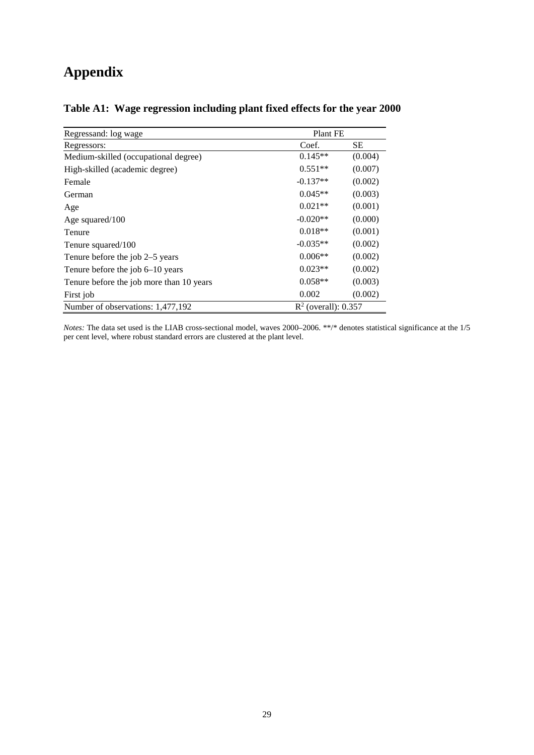# **Appendix**

| Regressand: log wage                     | Plant FE               |         |
|------------------------------------------|------------------------|---------|
| Regressors:                              | Coef.                  | SЕ      |
| Medium-skilled (occupational degree)     | $0.145**$              | (0.004) |
| High-skilled (academic degree)           | $0.551**$              | (0.007) |
| Female                                   | $-0.137**$             | (0.002) |
| German                                   | $0.045**$              | (0.003) |
| Age                                      | $0.021**$              | (0.001) |
| Age squared/100                          | $-0.020**$             | (0.000) |
| Tenure                                   | $0.018**$              | (0.001) |
| Tenure squared/100                       | $-0.035**$             | (0.002) |
| Tenure before the job 2–5 years          | $0.006**$              | (0.002) |
| Tenure before the job $6-10$ years       | $0.023**$              | (0.002) |
| Tenure before the job more than 10 years | $0.058**$              | (0.003) |
| First job                                | 0.002                  | (0.002) |
| Number of observations: 1,477,192        | $R^2$ (overall): 0.357 |         |

# **Table A1: Wage regression including plant fixed effects for the year 2000**

*Notes:* The data set used is the LIAB cross-sectional model, waves 2000–2006. \*\*/\* denotes statistical significance at the 1/5 per cent level, where robust standard errors are clustered at the plant level.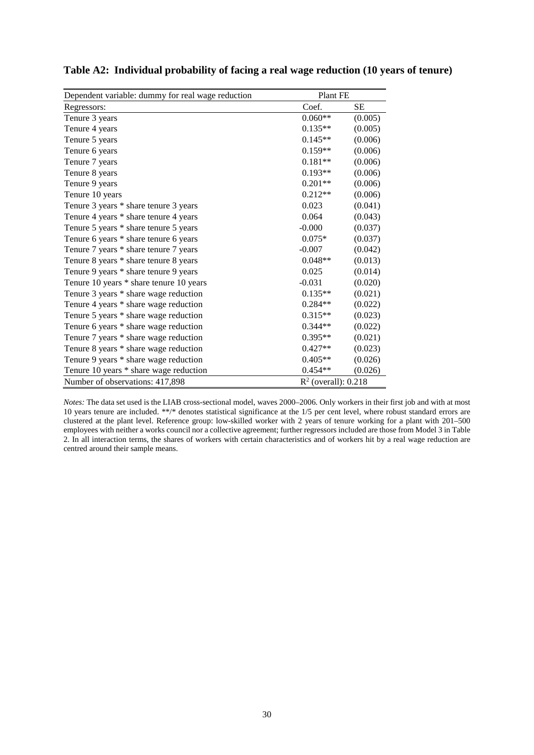| Dependent variable: dummy for real wage reduction | Plant FE               |           |
|---------------------------------------------------|------------------------|-----------|
| Regressors:                                       | Coef.                  | <b>SE</b> |
| Tenure 3 years                                    | $0.060**$              | (0.005)   |
| Tenure 4 years                                    | $0.135**$              | (0.005)   |
| Tenure 5 years                                    | $0.145**$              | (0.006)   |
| Tenure 6 years                                    | $0.159**$              | (0.006)   |
| Tenure 7 years                                    | $0.181**$              | (0.006)   |
| Tenure 8 years                                    | $0.193**$              | (0.006)   |
| Tenure 9 years                                    | $0.201**$              | (0.006)   |
| Tenure 10 years                                   | $0.212**$              | (0.006)   |
| Tenure 3 years * share tenure 3 years             | 0.023                  | (0.041)   |
| Tenure 4 years * share tenure 4 years             | 0.064                  | (0.043)   |
| Tenure 5 years * share tenure 5 years             | $-0.000$               | (0.037)   |
| Tenure 6 years * share tenure 6 years             | $0.075*$               | (0.037)   |
| Tenure 7 years * share tenure 7 years             | $-0.007$               | (0.042)   |
| Tenure 8 years * share tenure 8 years             | $0.048**$              | (0.013)   |
| Tenure 9 years * share tenure 9 years             | 0.025                  | (0.014)   |
| Tenure 10 years * share tenure 10 years           | $-0.031$               | (0.020)   |
| Tenure 3 years * share wage reduction             | $0.135**$              | (0.021)   |
| Tenure 4 years * share wage reduction             | $0.284**$              | (0.022)   |
| Tenure 5 years * share wage reduction             | $0.315**$              | (0.023)   |
| Tenure 6 years * share wage reduction             | $0.344**$              | (0.022)   |
| Tenure 7 years * share wage reduction             | $0.395**$              | (0.021)   |
| Tenure 8 years * share wage reduction             | $0.427**$              | (0.023)   |
| Tenure 9 years * share wage reduction             | $0.405**$              | (0.026)   |
| Tenure 10 years * share wage reduction            | $0.454**$              | (0.026)   |
| Number of observations: 417,898                   | $R^2$ (overall): 0.218 |           |

**Table A2: Individual probability of facing a real wage reduction (10 years of tenure)**

*Notes:* The data set used is the LIAB cross-sectional model, waves 2000–2006. Only workers in their first job and with at most 10 years tenure are included. \*\*/\* denotes statistical significance at the 1/5 per cent level, where robust standard errors are clustered at the plant level. Reference group: low-skilled worker with 2 years of tenure working for a plant with 201–500 employees with neither a works council nor a collective agreement; further regressors included are those from Model 3 in Table 2. In all interaction terms, the shares of workers with certain characteristics and of workers hit by a real wage reduction are centred around their sample means.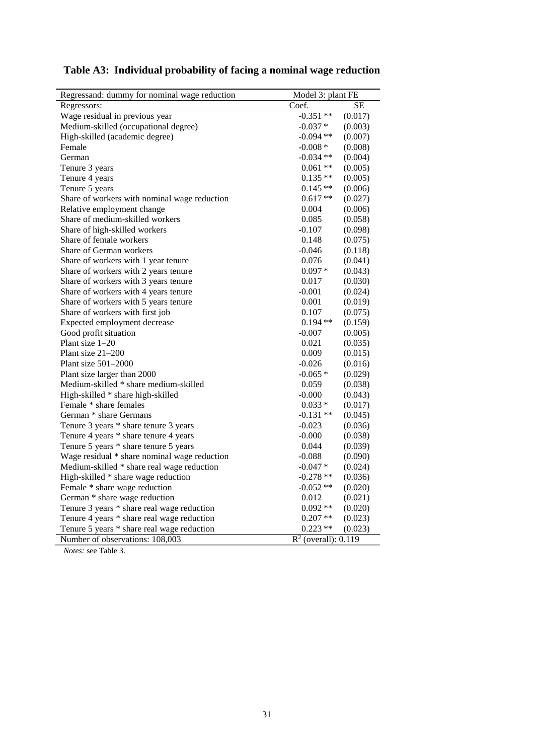| Regressand: dummy for nominal wage reduction | Model 3: plant FE      |         |
|----------------------------------------------|------------------------|---------|
| Regressors:                                  | Coef.                  | SЕ      |
| Wage residual in previous year               | $-0.351**$             | (0.017) |
| Medium-skilled (occupational degree)         | $-0.037*$              | (0.003) |
| High-skilled (academic degree)               | $-0.094$ **            | (0.007) |
| Female                                       | $-0.008*$              | (0.008) |
| German                                       | $-0.034**$             | (0.004) |
| Tenure 3 years                               | $0.061**$              | (0.005) |
| Tenure 4 years                               | $0.135**$              | (0.005) |
| Tenure 5 years                               | $0.145**$              | (0.006) |
| Share of workers with nominal wage reduction | $0.617**$              | (0.027) |
| Relative employment change                   | 0.004                  | (0.006) |
| Share of medium-skilled workers              | 0.085                  | (0.058) |
| Share of high-skilled workers                | $-0.107$               | (0.098) |
| Share of female workers                      | 0.148                  | (0.075) |
| Share of German workers                      | $-0.046$               | (0.118) |
| Share of workers with 1 year tenure          | 0.076                  | (0.041) |
| Share of workers with 2 years tenure         | $0.097*$               | (0.043) |
| Share of workers with 3 years tenure         | 0.017                  | (0.030) |
| Share of workers with 4 years tenure         | $-0.001$               | (0.024) |
| Share of workers with 5 years tenure         | 0.001                  | (0.019) |
| Share of workers with first job              | 0.107                  | (0.075) |
| Expected employment decrease                 | $0.194**$              | (0.159) |
| Good profit situation                        | $-0.007$               | (0.005) |
| Plant size 1-20                              | 0.021                  | (0.035) |
| Plant size 21-200                            | 0.009                  | (0.015) |
| Plant size $501-2000$                        | $-0.026$               | (0.016) |
| Plant size larger than 2000                  | $-0.065*$              | (0.029) |
| Medium-skilled * share medium-skilled        | 0.059                  | (0.038) |
| High-skilled * share high-skilled            | $-0.000$               | (0.043) |
| Female * share females                       | $0.033*$               | (0.017) |
| German * share Germans                       | $-0.131**$             | (0.045) |
| Tenure 3 years * share tenure 3 years        | $-0.023$               | (0.036) |
| Tenure 4 years * share tenure 4 years        | $-0.000$               | (0.038) |
| Tenure 5 years * share tenure 5 years        | 0.044                  | (0.039) |
| Wage residual * share nominal wage reduction | $-0.088$               | (0.090) |
| Medium-skilled * share real wage reduction   | $-0.047*$              | (0.024) |
| High-skilled * share wage reduction          | $-0.278**$             | (0.036) |
| Female * share wage reduction                | $-0.052**$             | (0.020) |
| German * share wage reduction                | 0.012                  | (0.021) |
| Tenure 3 years * share real wage reduction   | $0.092**$              | (0.020) |
| Tenure 4 years * share real wage reduction   | $0.207**$              | (0.023) |
| Tenure 5 years * share real wage reduction   | $0.223$ **             | (0.023) |
| Number of observations: 108,003              | $R^2$ (overall): 0.119 |         |

*Notes:* see Table 3.